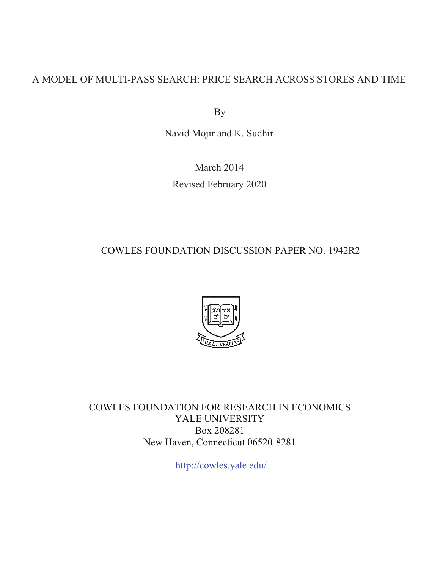## A MODEL OF MULTI-PASS SEARCH: PRICE SEARCH ACROSS STORES AND TIME

By

Navid Mojir and K. Sudhir

March 2014 Revised February 2020

COWLES FOUNDATION DISCUSSION PAPER NO. 1942R2



COWLES FOUNDATION FOR RESEARCH IN ECONOMICS YALE UNIVERSITY Box 208281 New Haven, Connecticut 06520-8281

<http://cowles.yale.edu>/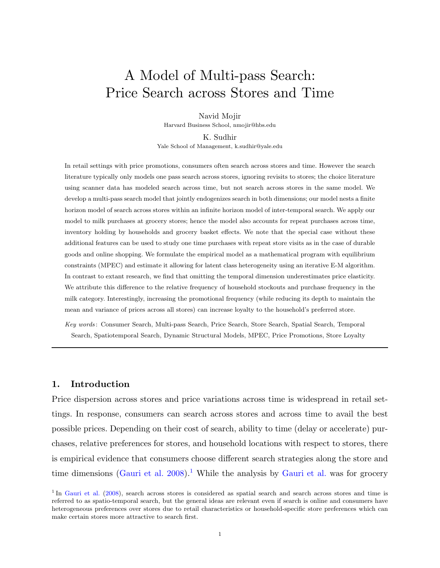## A Model of Multi-pass Search: Price Search across Stores and Time

Navid Mojir

Harvard Business School, nmojir@hbs.edu

K. Sudhir

Yale School of Management, k.sudhir@yale.edu

In retail settings with price promotions, consumers often search across stores and time. However the search literature typically only models one pass search across stores, ignoring revisits to stores; the choice literature using scanner data has modeled search across time, but not search across stores in the same model. We develop a multi-pass search model that jointly endogenizes search in both dimensions; our model nests a finite horizon model of search across stores within an infinite horizon model of inter-temporal search. We apply our model to milk purchases at grocery stores; hence the model also accounts for repeat purchases across time, inventory holding by households and grocery basket effects. We note that the special case without these additional features can be used to study one time purchases with repeat store visits as in the case of durable goods and online shopping. We formulate the empirical model as a mathematical program with equilibrium constraints (MPEC) and estimate it allowing for latent class heterogeneity using an iterative E-M algorithm. In contrast to extant research, we find that omitting the temporal dimension underestimates price elasticity. We attribute this difference to the relative frequency of household stockouts and purchase frequency in the milk category. Interestingly, increasing the promotional frequency (while reducing its depth to maintain the mean and variance of prices across all stores) can increase loyalty to the household's preferred store.

Key words : Consumer Search, Multi-pass Search, Price Search, Store Search, Spatial Search, Temporal Search, Spatiotemporal Search, Dynamic Structural Models, MPEC, Price Promotions, Store Loyalty

## <span id="page-1-1"></span>1. Introduction

Price dispersion across stores and price variations across time is widespread in retail settings. In response, consumers can search across stores and across time to avail the best possible prices. Depending on their cost of search, ability to time (delay or accelerate) purchases, relative preferences for stores, and household locations with respect to stores, there is empirical evidence that consumers choose different search strategies along the store and time dimensions [\(Gauri et al.](#page-41-0) [2008\)](#page-41-0).<sup>[1](#page-1-0)</sup> While the analysis by [Gauri et al.](#page-41-0) was for grocery

<span id="page-1-0"></span><sup>&</sup>lt;sup>1</sup> In [Gauri et al.](#page-41-0) [\(2008\)](#page-41-0), search across stores is considered as spatial search and search across stores and time is referred to as spatio-temporal search, but the general ideas are relevant even if search is online and consumers have heterogeneous preferences over stores due to retail characteristics or household-specific store preferences which can make certain stores more attractive to search first.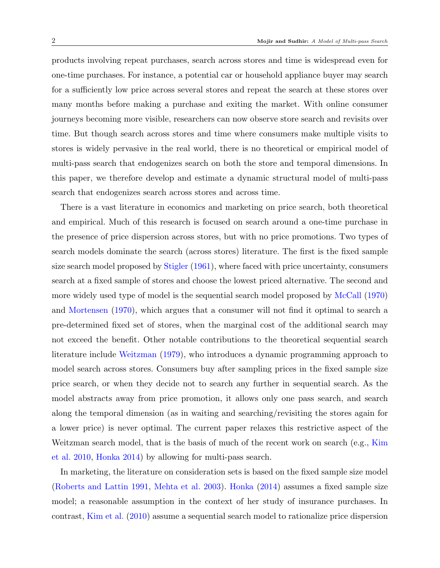products involving repeat purchases, search across stores and time is widespread even for one-time purchases. For instance, a potential car or household appliance buyer may search for a sufficiently low price across several stores and repeat the search at these stores over many months before making a purchase and exiting the market. With online consumer journeys becoming more visible, researchers can now observe store search and revisits over time. But though search across stores and time where consumers make multiple visits to stores is widely pervasive in the real world, there is no theoretical or empirical model of multi-pass search that endogenizes search on both the store and temporal dimensions. In this paper, we therefore develop and estimate a dynamic structural model of multi-pass search that endogenizes search across stores and across time.

There is a vast literature in economics and marketing on price search, both theoretical and empirical. Much of this research is focused on search around a one-time purchase in the presence of price dispersion across stores, but with no price promotions. Two types of search models dominate the search (across stores) literature. The first is the fixed sample size search model proposed by [Stigler](#page-42-0) [\(1961\)](#page-42-0), where faced with price uncertainty, consumers search at a fixed sample of stores and choose the lowest priced alternative. The second and more widely used type of model is the sequential search model proposed by [McCall](#page-42-1) [\(1970\)](#page-42-1) and [Mortensen](#page-42-2) [\(1970\)](#page-42-2), which argues that a consumer will not find it optimal to search a pre-determined fixed set of stores, when the marginal cost of the additional search may not exceed the benefit. Other notable contributions to the theoretical sequential search literature include [Weitzman](#page-43-0) [\(1979\)](#page-43-0), who introduces a dynamic programming approach to model search across stores. Consumers buy after sampling prices in the fixed sample size price search, or when they decide not to search any further in sequential search. As the model abstracts away from price promotion, it allows only one pass search, and search along the temporal dimension (as in waiting and searching/revisiting the stores again for a lower price) is never optimal. The current paper relaxes this restrictive aspect of the Weitzman search model, that is the basis of much of the recent work on search (e.g., [Kim](#page-42-3) [et al.](#page-42-3) [2010,](#page-42-3) [Honka](#page-42-4) [2014\)](#page-42-4) by allowing for multi-pass search.

In marketing, the literature on consideration sets is based on the fixed sample size model [\(Roberts and Lattin](#page-42-5) [1991,](#page-42-5) [Mehta et al.](#page-42-6) [2003\)](#page-42-6). [Honka](#page-42-4) [\(2014\)](#page-42-4) assumes a fixed sample size model; a reasonable assumption in the context of her study of insurance purchases. In contrast, [Kim et al.](#page-42-3) [\(2010\)](#page-42-3) assume a sequential search model to rationalize price dispersion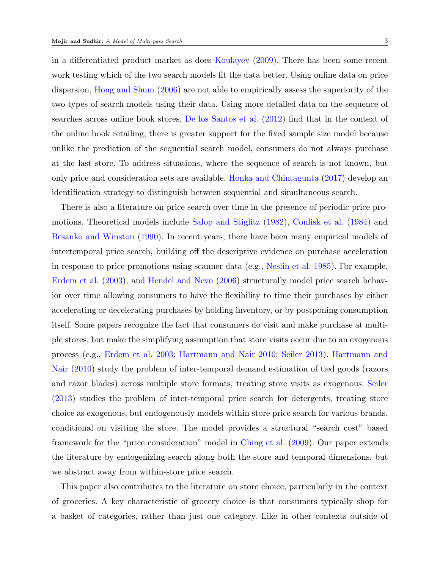in a differentiated product market as does [Koulayev](#page-42-7) [\(2009\)](#page-42-7). There has been some recent work testing which of the two search models fit the data better. Using online data on price dispersion, [Hong and Shum](#page-42-8) [\(2006\)](#page-42-8) are not able to empirically assess the superiority of the two types of search models using their data. Using more detailed data on the sequence of searches across online book stores, [De los Santos et al.](#page-41-1) [\(2012\)](#page-41-1) find that in the context of the online book retailing, there is greater support for the fixed sample size model because unlike the prediction of the sequential search model, consumers do not always purchase at the last store. To address situations, where the sequence of search is not known, but only price and consideration sets are available, [Honka and Chintagunta](#page-42-9) [\(2017\)](#page-42-9) develop an identification strategy to distinguish between sequential and simultaneous search.

There is also a literature on price search over time in the presence of periodic price promotions. Theoretical models include [Salop and Stiglitz](#page-42-10) [\(1982\)](#page-42-10), [Conlisk et al.](#page-41-2) [\(1984\)](#page-41-2) and [Besanko and Winston](#page-41-3) [\(1990\)](#page-41-3). In recent years, there have been many empirical models of intertemporal price search, building off the descriptive evidence on purchase acceleration in response to price promotions using scanner data (e.g., [Neslin et al.](#page-42-11) [1985\)](#page-42-11). For example, [Erdem et al.](#page-41-4) [\(2003\)](#page-41-4), and [Hendel and Nevo](#page-42-12) [\(2006\)](#page-42-12) structurally model price search behavior over time allowing consumers to have the flexibility to time their purchases by either accelerating or decelerating purchases by holding inventory, or by postponing consumption itself. Some papers recognize the fact that consumers do visit and make purchase at multiple stores, but make the simplifying assumption that store visits occur due to an exogenous process (e.g., [Erdem et al.](#page-41-4) [2003;](#page-41-4) [Hartmann and Nair](#page-42-13) [2010;](#page-42-13) [Seiler](#page-42-14) [2013\)](#page-42-14). [Hartmann and](#page-42-13) [Nair](#page-42-13) [\(2010\)](#page-42-13) study the problem of inter-temporal demand estimation of tied goods (razors and razor blades) across multiple store formats, treating store visits as exogenous. [Seiler](#page-42-14) [\(2013\)](#page-42-14) studies the problem of inter-temporal price search for detergents, treating store choice as exogenous, but endogenously models within store price search for various brands, conditional on visiting the store. The model provides a structural "search cost" based framework for the "price consideration" model in [Ching et al.](#page-41-5) [\(2009\)](#page-41-5). Our paper extends the literature by endogenizing search along both the store and temporal dimensions, but we abstract away from within-store price search.

This paper also contributes to the literature on store choice, particularly in the context of groceries. A key characteristic of grocery choice is that consumers typically shop for a basket of categories, rather than just one category. Like in other contexts outside of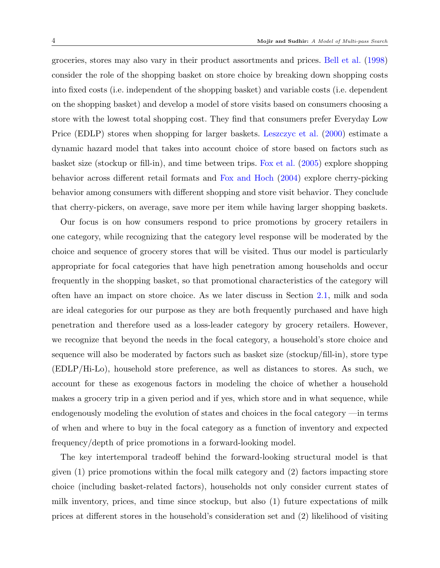groceries, stores may also vary in their product assortments and prices. [Bell et al.](#page-41-6) [\(1998\)](#page-41-6) consider the role of the shopping basket on store choice by breaking down shopping costs into fixed costs (i.e. independent of the shopping basket) and variable costs (i.e. dependent on the shopping basket) and develop a model of store visits based on consumers choosing a store with the lowest total shopping cost. They find that consumers prefer Everyday Low Price (EDLP) stores when shopping for larger baskets. [Leszczyc et al.](#page-42-15) [\(2000\)](#page-42-15) estimate a dynamic hazard model that takes into account choice of store based on factors such as basket size (stockup or fill-in), and time between trips. [Fox et al.](#page-41-7) [\(2005\)](#page-41-7) explore shopping behavior across different retail formats and [Fox and Hoch](#page-41-8) [\(2004\)](#page-41-8) explore cherry-picking behavior among consumers with different shopping and store visit behavior. They conclude that cherry-pickers, on average, save more per item while having larger shopping baskets.

Our focus is on how consumers respond to price promotions by grocery retailers in one category, while recognizing that the category level response will be moderated by the choice and sequence of grocery stores that will be visited. Thus our model is particularly appropriate for focal categories that have high penetration among households and occur frequently in the shopping basket, so that promotional characteristics of the category will often have an impact on store choice. As we later discuss in Section [2.1,](#page-8-0) milk and soda are ideal categories for our purpose as they are both frequently purchased and have high penetration and therefore used as a loss-leader category by grocery retailers. However, we recognize that beyond the needs in the focal category, a household's store choice and sequence will also be moderated by factors such as basket size (stockup/fill-in), store type (EDLP/Hi-Lo), household store preference, as well as distances to stores. As such, we account for these as exogenous factors in modeling the choice of whether a household makes a grocery trip in a given period and if yes, which store and in what sequence, while endogenously modeling the evolution of states and choices in the focal category —in terms of when and where to buy in the focal category as a function of inventory and expected frequency/depth of price promotions in a forward-looking model.

The key intertemporal tradeoff behind the forward-looking structural model is that given (1) price promotions within the focal milk category and (2) factors impacting store choice (including basket-related factors), households not only consider current states of milk inventory, prices, and time since stockup, but also (1) future expectations of milk prices at different stores in the household's consideration set and (2) likelihood of visiting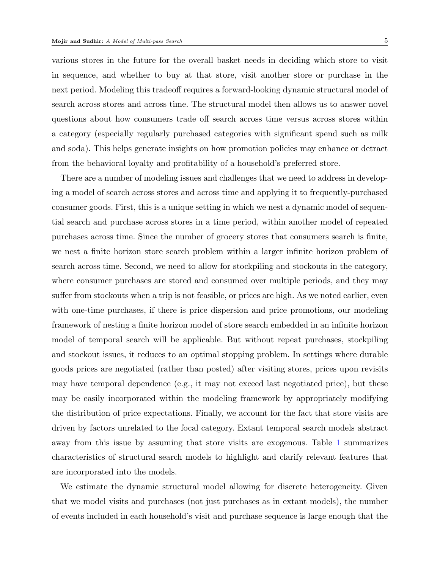various stores in the future for the overall basket needs in deciding which store to visit in sequence, and whether to buy at that store, visit another store or purchase in the next period. Modeling this tradeoff requires a forward-looking dynamic structural model of search across stores and across time. The structural model then allows us to answer novel questions about how consumers trade off search across time versus across stores within a category (especially regularly purchased categories with significant spend such as milk and soda). This helps generate insights on how promotion policies may enhance or detract from the behavioral loyalty and profitability of a household's preferred store.

There are a number of modeling issues and challenges that we need to address in developing a model of search across stores and across time and applying it to frequently-purchased consumer goods. First, this is a unique setting in which we nest a dynamic model of sequential search and purchase across stores in a time period, within another model of repeated purchases across time. Since the number of grocery stores that consumers search is finite, we nest a finite horizon store search problem within a larger infinite horizon problem of search across time. Second, we need to allow for stockpiling and stockouts in the category, where consumer purchases are stored and consumed over multiple periods, and they may suffer from stockouts when a trip is not feasible, or prices are high. As we noted earlier, even with one-time purchases, if there is price dispersion and price promotions, our modeling framework of nesting a finite horizon model of store search embedded in an infinite horizon model of temporal search will be applicable. But without repeat purchases, stockpiling and stockout issues, it reduces to an optimal stopping problem. In settings where durable goods prices are negotiated (rather than posted) after visiting stores, prices upon revisits may have temporal dependence (e.g., it may not exceed last negotiated price), but these may be easily incorporated within the modeling framework by appropriately modifying the distribution of price expectations. Finally, we account for the fact that store visits are driven by factors unrelated to the focal category. Extant temporal search models abstract away from this issue by assuming that store visits are exogenous. Table [1](#page-6-0) summarizes characteristics of structural search models to highlight and clarify relevant features that are incorporated into the models.

We estimate the dynamic structural model allowing for discrete heterogeneity. Given that we model visits and purchases (not just purchases as in extant models), the number of events included in each household's visit and purchase sequence is large enough that the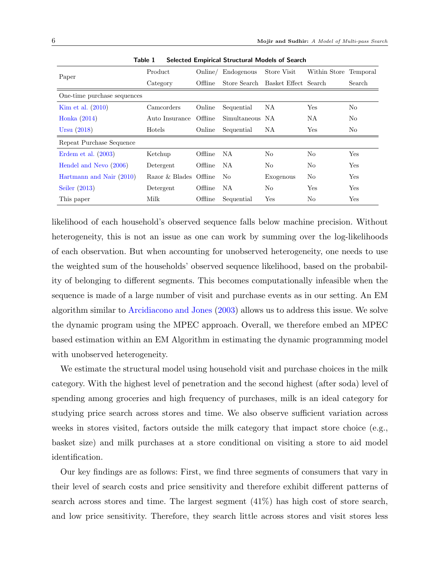<span id="page-6-0"></span>

| Paper                       | Product                |         | Online/ Endogenous | Store Visit                       | Within Store Temporal |                |
|-----------------------------|------------------------|---------|--------------------|-----------------------------------|-----------------------|----------------|
|                             | Category               | Offline |                    | Store Search Basket Effect Search |                       | Search         |
| One-time purchase sequences |                        |         |                    |                                   |                       |                |
| Kim et al. $(2010)$         | Camcorders             | Online  | Sequential         | NA                                | Yes                   | N <sub>o</sub> |
| Honka $(2014)$              | Auto Insurance Offline |         | Simultaneous NA    |                                   | NA                    | N <sub>o</sub> |
| Ursu $(2018)$               | Hotels                 | Online  | Sequential         | NA                                | Yes                   | No             |
| Repeat Purchase Sequence    |                        |         |                    |                                   |                       |                |
| Erdem et al. $(2003)$       | Ketchup                | Offline | NA                 | No.                               | No                    | Yes            |
| Hendel and Nevo (2006)      | Detergent              | Offline | NA                 | N <sub>o</sub>                    | No                    | Yes            |
| Hartmann and Nair (2010)    | Razor & Blades Offline |         | No.                | Exogenous                         | N <sub>o</sub>        | Yes            |
| Seiler $(2013)$             | Detergent              | Offline | NA                 | No                                | Yes                   | Yes            |
| This paper                  | Milk                   | Offline | Sequential         | Yes                               | No                    | Yes            |

Table 1 Selected Empirical Structural Models of Search

likelihood of each household's observed sequence falls below machine precision. Without heterogeneity, this is not an issue as one can work by summing over the log-likelihoods of each observation. But when accounting for unobserved heterogeneity, one needs to use the weighted sum of the households' observed sequence likelihood, based on the probability of belonging to different segments. This becomes computationally infeasible when the sequence is made of a large number of visit and purchase events as in our setting. An EM algorithm similar to [Arcidiacono and Jones](#page-41-9) [\(2003\)](#page-41-9) allows us to address this issue. We solve the dynamic program using the MPEC approach. Overall, we therefore embed an MPEC based estimation within an EM Algorithm in estimating the dynamic programming model with unobserved heterogeneity.

We estimate the structural model using household visit and purchase choices in the milk category. With the highest level of penetration and the second highest (after soda) level of spending among groceries and high frequency of purchases, milk is an ideal category for studying price search across stores and time. We also observe sufficient variation across weeks in stores visited, factors outside the milk category that impact store choice (e.g., basket size) and milk purchases at a store conditional on visiting a store to aid model identification.

Our key findings are as follows: First, we find three segments of consumers that vary in their level of search costs and price sensitivity and therefore exhibit different patterns of search across stores and time. The largest segment (41%) has high cost of store search, and low price sensitivity. Therefore, they search little across stores and visit stores less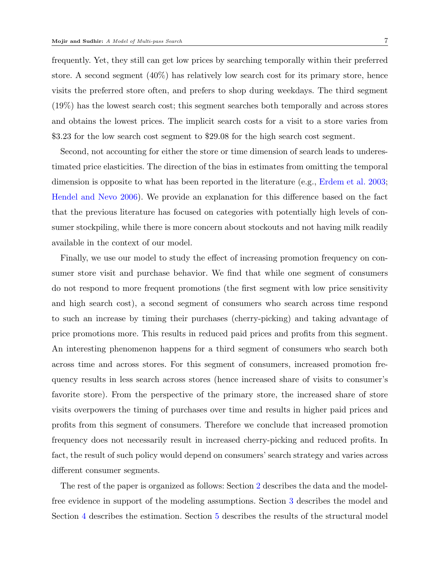frequently. Yet, they still can get low prices by searching temporally within their preferred store. A second segment (40%) has relatively low search cost for its primary store, hence visits the preferred store often, and prefers to shop during weekdays. The third segment (19%) has the lowest search cost; this segment searches both temporally and across stores and obtains the lowest prices. The implicit search costs for a visit to a store varies from

Second, not accounting for either the store or time dimension of search leads to underestimated price elasticities. The direction of the bias in estimates from omitting the temporal dimension is opposite to what has been reported in the literature (e.g., [Erdem et al.](#page-41-4) [2003;](#page-41-4) [Hendel and Nevo](#page-42-12) [2006\)](#page-42-12). We provide an explanation for this difference based on the fact that the previous literature has focused on categories with potentially high levels of consumer stockpiling, while there is more concern about stockouts and not having milk readily available in the context of our model.

\$3.23 for the low search cost segment to \$29.08 for the high search cost segment.

Finally, we use our model to study the effect of increasing promotion frequency on consumer store visit and purchase behavior. We find that while one segment of consumers do not respond to more frequent promotions (the first segment with low price sensitivity and high search cost), a second segment of consumers who search across time respond to such an increase by timing their purchases (cherry-picking) and taking advantage of price promotions more. This results in reduced paid prices and profits from this segment. An interesting phenomenon happens for a third segment of consumers who search both across time and across stores. For this segment of consumers, increased promotion frequency results in less search across stores (hence increased share of visits to consumer's favorite store). From the perspective of the primary store, the increased share of store visits overpowers the timing of purchases over time and results in higher paid prices and profits from this segment of consumers. Therefore we conclude that increased promotion frequency does not necessarily result in increased cherry-picking and reduced profits. In fact, the result of such policy would depend on consumers' search strategy and varies across different consumer segments.

The rest of the paper is organized as follows: Section [2](#page-8-1) describes the data and the modelfree evidence in support of the modeling assumptions. Section [3](#page-13-0) describes the model and Section [4](#page-26-0) describes the estimation. Section [5](#page-30-0) describes the results of the structural model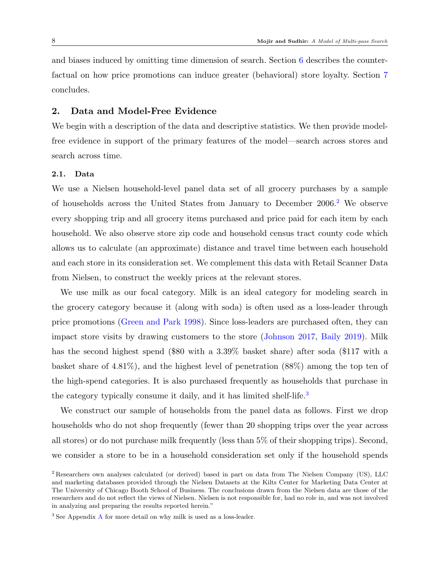and biases induced by omitting time dimension of search. Section [6](#page-36-0) describes the counterfactual on how price promotions can induce greater (behavioral) store loyalty. Section [7](#page-39-0) concludes.

## <span id="page-8-1"></span>2. Data and Model-Free Evidence

We begin with a description of the data and descriptive statistics. We then provide modelfree evidence in support of the primary features of the model—search across stores and search across time.

#### <span id="page-8-0"></span>2.1. Data

We use a Nielsen household-level panel data set of all grocery purchases by a sample of households across the United States from January to December 2006.[2](#page-8-2) We observe every shopping trip and all grocery items purchased and price paid for each item by each household. We also observe store zip code and household census tract county code which allows us to calculate (an approximate) distance and travel time between each household and each store in its consideration set. We complement this data with Retail Scanner Data from Nielsen, to construct the weekly prices at the relevant stores.

We use milk as our focal category. Milk is an ideal category for modeling search in the grocery category because it (along with soda) is often used as a loss-leader through price promotions [\(Green and Park](#page-41-10) [1998\)](#page-41-10). Since loss-leaders are purchased often, they can impact store visits by drawing customers to the store [\(Johnson](#page-42-16) [2017,](#page-42-16) [Baily](#page-41-11) [2019\)](#page-41-11). Milk has the second highest spend (\$80 with a 3.39% basket share) after soda (\$117 with a basket share of 4.81%), and the highest level of penetration (88%) among the top ten of the high-spend categories. It is also purchased frequently as households that purchase in the category typically consume it daily, and it has limited shelf-life.[3](#page-8-3)

We construct our sample of households from the panel data as follows. First we drop households who do not shop frequently (fewer than 20 shopping trips over the year across all stores) or do not purchase milk frequently (less than 5% of their shopping trips). Second, we consider a store to be in a household consideration set only if the household spends

<span id="page-8-2"></span><sup>2</sup> Researchers own analyses calculated (or derived) based in part on data from The Nielsen Company (US), LLC and marketing databases provided through the Nielsen Datasets at the Kilts Center for Marketing Data Center at The University of Chicago Booth School of Business. The conclusions drawn from the Nielsen data are those of the researchers and do not reflect the views of Nielsen. Nielsen is not responsible for, had no role in, and was not involved in analyzing and preparing the results reported herein."

<span id="page-8-3"></span><sup>&</sup>lt;sup>3</sup> See [A](#page-1-1)ppendix A for more detail on why milk is used as a loss-leader.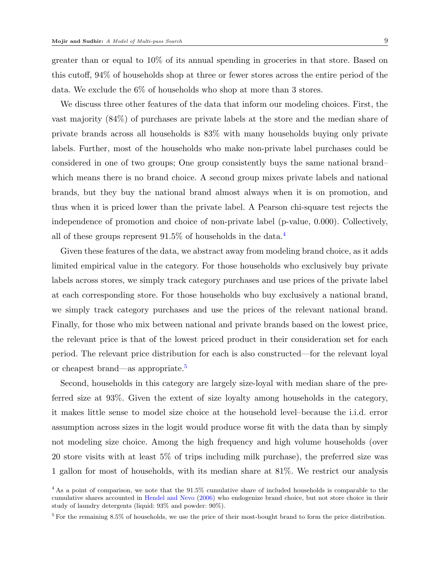greater than or equal to 10% of its annual spending in groceries in that store. Based on this cutoff, 94% of households shop at three or fewer stores across the entire period of the data. We exclude the 6% of households who shop at more than 3 stores.

We discuss three other features of the data that inform our modeling choices. First, the vast majority (84%) of purchases are private labels at the store and the median share of private brands across all households is 83% with many households buying only private labels. Further, most of the households who make non-private label purchases could be considered in one of two groups; One group consistently buys the same national brand– which means there is no brand choice. A second group mixes private labels and national brands, but they buy the national brand almost always when it is on promotion, and thus when it is priced lower than the private label. A Pearson chi-square test rejects the independence of promotion and choice of non-private label (p-value, 0.000). Collectively, all of these groups represent  $91.5\%$  of households in the data.<sup>[4](#page-9-0)</sup>

Given these features of the data, we abstract away from modeling brand choice, as it adds limited empirical value in the category. For those households who exclusively buy private labels across stores, we simply track category purchases and use prices of the private label at each corresponding store. For those households who buy exclusively a national brand, we simply track category purchases and use the prices of the relevant national brand. Finally, for those who mix between national and private brands based on the lowest price, the relevant price is that of the lowest priced product in their consideration set for each period. The relevant price distribution for each is also constructed—for the relevant loyal or cheapest brand—as appropriate.<sup>[5](#page-9-1)</sup>

Second, households in this category are largely size-loyal with median share of the preferred size at 93%. Given the extent of size loyalty among households in the category, it makes little sense to model size choice at the household level–because the i.i.d. error assumption across sizes in the logit would produce worse fit with the data than by simply not modeling size choice. Among the high frequency and high volume households (over 20 store visits with at least 5% of trips including milk purchase), the preferred size was 1 gallon for most of households, with its median share at 81%. We restrict our analysis

<span id="page-9-0"></span><sup>&</sup>lt;sup>4</sup> As a point of comparison, we note that the 91.5% cumulative share of included households is comparable to the cumulative shares accounted in [Hendel and Nevo](#page-42-12) [\(2006\)](#page-42-12) who endogenize brand choice, but not store choice in their study of laundry detergents (liquid: 93% and powder: 90%).

<span id="page-9-1"></span><sup>&</sup>lt;sup>5</sup> For the remaining 8.5% of households, we use the price of their most-bought brand to form the price distribution.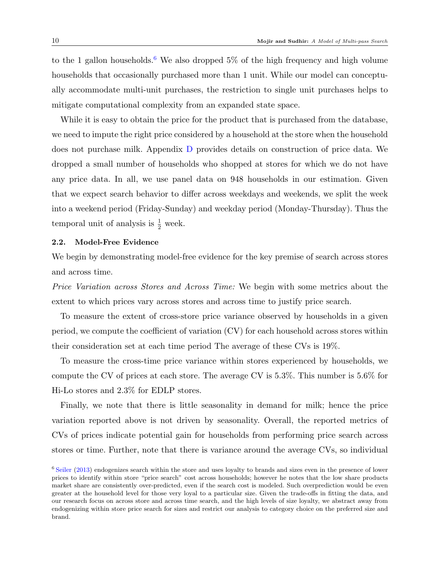to the 1 gallon households.<sup>[6](#page-10-0)</sup> We also dropped 5% of the high frequency and high volume households that occasionally purchased more than 1 unit. While our model can conceptually accommodate multi-unit purchases, the restriction to single unit purchases helps to mitigate computational complexity from an expanded state space.

While it is easy to obtain the price for the product that is purchased from the database, we need to impute the right price considered by a household at the store when the household does not purchase milk. Appendix [D](#page-26-0) provides details on construction of price data. We dropped a small number of households who shopped at stores for which we do not have any price data. In all, we use panel data on 948 households in our estimation. Given that we expect search behavior to differ across weekdays and weekends, we split the week into a weekend period (Friday-Sunday) and weekday period (Monday-Thursday). Thus the temporal unit of analysis is  $\frac{1}{2}$  week.

#### 2.2. Model-Free Evidence

We begin by demonstrating model-free evidence for the key premise of search across stores and across time.

Price Variation across Stores and Across Time: We begin with some metrics about the extent to which prices vary across stores and across time to justify price search.

To measure the extent of cross-store price variance observed by households in a given period, we compute the coefficient of variation (CV) for each household across stores within their consideration set at each time period The average of these CVs is 19%.

To measure the cross-time price variance within stores experienced by households, we compute the CV of prices at each store. The average CV is 5.3%. This number is 5.6% for Hi-Lo stores and 2.3% for EDLP stores.

Finally, we note that there is little seasonality in demand for milk; hence the price variation reported above is not driven by seasonality. Overall, the reported metrics of CVs of prices indicate potential gain for households from performing price search across stores or time. Further, note that there is variance around the average CVs, so individual

<span id="page-10-0"></span><sup>6</sup> [Seiler](#page-42-14) [\(2013\)](#page-42-14) endogenizes search within the store and uses loyalty to brands and sizes even in the presence of lower prices to identify within store "price search" cost across households; however he notes that the low share products market share are consistently over-predicted, even if the search cost is modeled. Such overprediction would be even greater at the household level for those very loyal to a particular size. Given the trade-offs in fitting the data, and our research focus on across store and across time search, and the high levels of size loyalty, we abstract away from endogenizing within store price search for sizes and restrict our analysis to category choice on the preferred size and brand.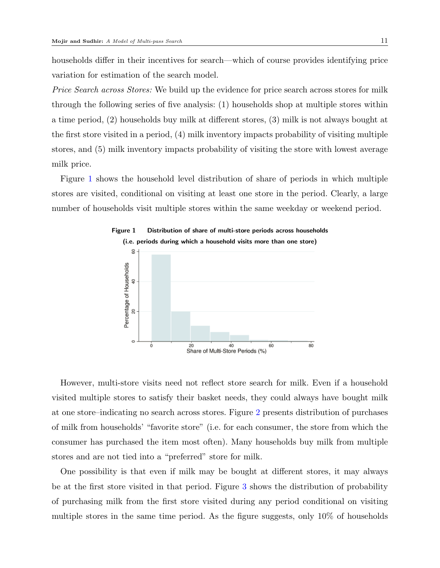households differ in their incentives for search—which of course provides identifying price variation for estimation of the search model.

Price Search across Stores: We build up the evidence for price search across stores for milk through the following series of five analysis: (1) households shop at multiple stores within a time period, (2) households buy milk at different stores, (3) milk is not always bought at the first store visited in a period, (4) milk inventory impacts probability of visiting multiple stores, and (5) milk inventory impacts probability of visiting the store with lowest average milk price.

<span id="page-11-0"></span>Figure [1](#page-11-0) shows the household level distribution of share of periods in which multiple stores are visited, conditional on visiting at least one store in the period. Clearly, a large number of households visit multiple stores within the same weekday or weekend period.



# Figure 1 Distribution of share of multi-store periods across households

However, multi-store visits need not reflect store search for milk. Even if a household visited multiple stores to satisfy their basket needs, they could always have bought milk at one store–indicating no search across stores. Figure [2](#page-12-0) presents distribution of purchases of milk from households' "favorite store" (i.e. for each consumer, the store from which the consumer has purchased the item most often). Many households buy milk from multiple stores and are not tied into a "preferred" store for milk.

One possibility is that even if milk may be bought at different stores, it may always be at the first store visited in that period. Figure [3](#page-13-1) shows the distribution of probability of purchasing milk from the first store visited during any period conditional on visiting multiple stores in the same time period. As the figure suggests, only 10% of households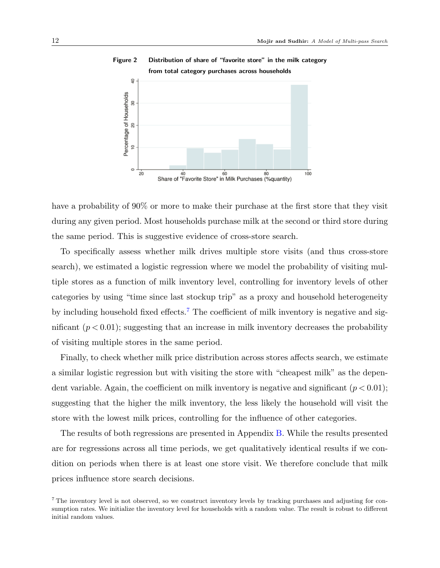

<span id="page-12-0"></span>Figure 2 Distribution of share of "favorite store" in the milk category from total category purchases across households

have a probability of 90% or more to make their purchase at the first store that they visit during any given period. Most households purchase milk at the second or third store during the same period. This is suggestive evidence of cross-store search.

To specifically assess whether milk drives multiple store visits (and thus cross-store search), we estimated a logistic regression where we model the probability of visiting multiple stores as a function of milk inventory level, controlling for inventory levels of other categories by using "time since last stockup trip" as a proxy and household heterogeneity by including household fixed effects.[7](#page-12-1) The coefficient of milk inventory is negative and significant  $(p < 0.01)$ ; suggesting that an increase in milk inventory decreases the probability of visiting multiple stores in the same period.

Finally, to check whether milk price distribution across stores affects search, we estimate a similar logistic regression but with visiting the store with "cheapest milk" as the dependent variable. Again, the coefficient on milk inventory is negative and significant  $(p < 0.01)$ ; suggesting that the higher the milk inventory, the less likely the household will visit the store with the lowest milk prices, controlling for the influence of other categories.

The results of both regressions are presented in Appendix [B.](#page-8-1) While the results presented are for regressions across all time periods, we get qualitatively identical results if we condition on periods when there is at least one store visit. We therefore conclude that milk prices influence store search decisions.

<span id="page-12-1"></span><sup>7</sup> The inventory level is not observed, so we construct inventory levels by tracking purchases and adjusting for consumption rates. We initialize the inventory level for households with a random value. The result is robust to different initial random values.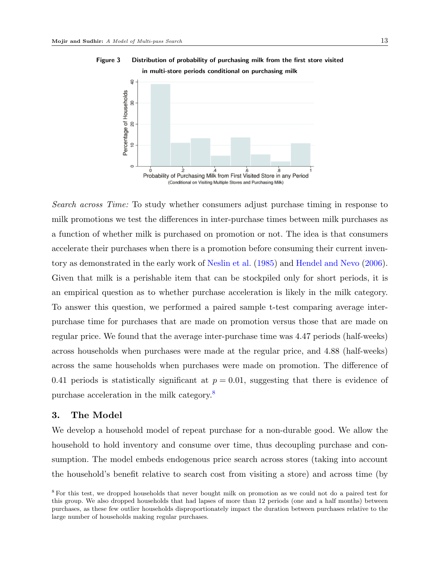

<span id="page-13-1"></span>Figure 3 Distribution of probability of purchasing milk from the first store visited in multi-store periods conditional on purchasing milk

Search across Time: To study whether consumers adjust purchase timing in response to milk promotions we test the differences in inter-purchase times between milk purchases as a function of whether milk is purchased on promotion or not. The idea is that consumers accelerate their purchases when there is a promotion before consuming their current inventory as demonstrated in the early work of [Neslin et al.](#page-42-11) [\(1985\)](#page-42-11) and [Hendel and Nevo](#page-42-12) [\(2006\)](#page-42-12). Given that milk is a perishable item that can be stockpiled only for short periods, it is an empirical question as to whether purchase acceleration is likely in the milk category. To answer this question, we performed a paired sample t-test comparing average interpurchase time for purchases that are made on promotion versus those that are made on regular price. We found that the average inter-purchase time was 4.47 periods (half-weeks) across households when purchases were made at the regular price, and 4.88 (half-weeks) across the same households when purchases were made on promotion. The difference of 0.41 periods is statistically significant at  $p = 0.01$ , suggesting that there is evidence of purchase acceleration in the milk category.[8](#page-13-2)

## <span id="page-13-0"></span>3. The Model

We develop a household model of repeat purchase for a non-durable good. We allow the household to hold inventory and consume over time, thus decoupling purchase and consumption. The model embeds endogenous price search across stores (taking into account the household's benefit relative to search cost from visiting a store) and across time (by

<span id="page-13-2"></span><sup>8</sup> For this test, we dropped households that never bought milk on promotion as we could not do a paired test for this group. We also dropped households that had lapses of more than 12 periods (one and a half months) between purchases, as these few outlier households disproportionately impact the duration between purchases relative to the large number of households making regular purchases.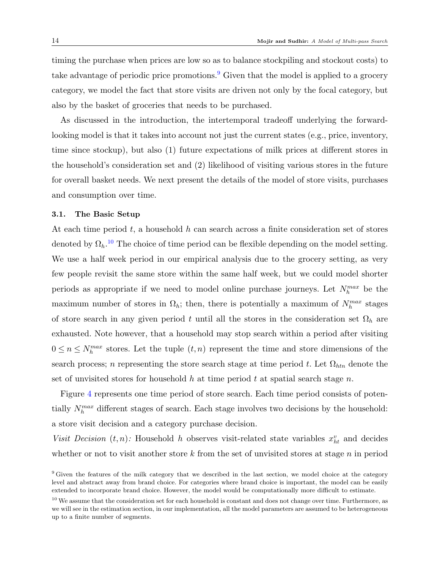timing the purchase when prices are low so as to balance stockpiling and stockout costs) to take advantage of periodic price promotions.<sup>[9](#page-14-0)</sup> Given that the model is applied to a grocery category, we model the fact that store visits are driven not only by the focal category, but also by the basket of groceries that needs to be purchased.

As discussed in the introduction, the intertemporal tradeoff underlying the forwardlooking model is that it takes into account not just the current states (e.g., price, inventory, time since stockup), but also (1) future expectations of milk prices at different stores in the household's consideration set and (2) likelihood of visiting various stores in the future for overall basket needs. We next present the details of the model of store visits, purchases and consumption over time.

#### 3.1. The Basic Setup

At each time period  $t$ , a household h can search across a finite consideration set of stores denoted by  $\Omega_h$ <sup>[10](#page-14-1)</sup> The choice of time period can be flexible depending on the model setting. We use a half week period in our empirical analysis due to the grocery setting, as very few people revisit the same store within the same half week, but we could model shorter periods as appropriate if we need to model online purchase journeys. Let  $N_h^{max}$  be the maximum number of stores in  $\Omega_h$ ; then, there is potentially a maximum of  $N_h^{max}$  stages of store search in any given period t until all the stores in the consideration set  $\Omega_h$  are exhausted. Note however, that a household may stop search within a period after visiting  $0 \leq n \leq N_h^{max}$  stores. Let the tuple  $(t, n)$  represent the time and store dimensions of the search process; n representing the store search stage at time period t. Let  $\Omega_{htn}$  denote the set of unvisited stores for household h at time period t at spatial search stage n.

Figure [4](#page-15-0) represents one time period of store search. Each time period consists of potentially  $N_h^{max}$  different stages of search. Each stage involves two decisions by the household: a store visit decision and a category purchase decision.

Visit Decision  $(t, n)$ : Household h observes visit-related state variables  $x_{ht}^v$  and decides whether or not to visit another store  $k$  from the set of unvisited stores at stage  $n$  in period

<span id="page-14-0"></span><sup>9</sup> Given the features of the milk category that we described in the last section, we model choice at the category level and abstract away from brand choice. For categories where brand choice is important, the model can be easily extended to incorporate brand choice. However, the model would be computationally more difficult to estimate.

<span id="page-14-1"></span> $10$  We assume that the consideration set for each household is constant and does not change over time. Furthermore, as we will see in the estimation section, in our implementation, all the model parameters are assumed to be heterogeneous up to a finite number of segments.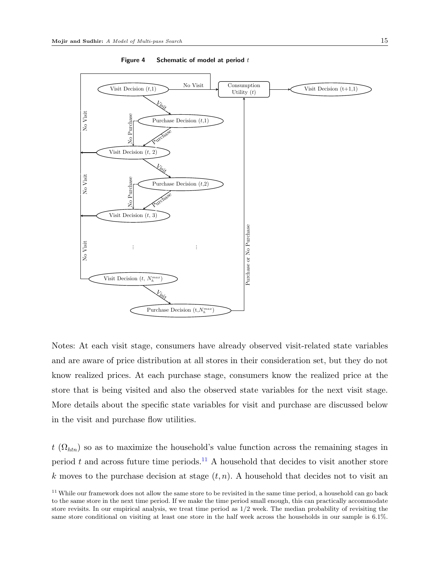<span id="page-15-0"></span>

Figure 4 Schematic of model at period  $t$ 

Notes: At each visit stage, consumers have already observed visit-related state variables and are aware of price distribution at all stores in their consideration set, but they do not know realized prices. At each purchase stage, consumers know the realized price at the store that is being visited and also the observed state variables for the next visit stage. More details about the specific state variables for visit and purchase are discussed below in the visit and purchase flow utilities.

 $t(\Omega_{htn})$  so as to maximize the household's value function across the remaining stages in period t and across future time periods.<sup>[11](#page-15-1)</sup> A household that decides to visit another store k moves to the purchase decision at stage  $(t, n)$ . A household that decides not to visit an

<span id="page-15-1"></span> $11$  While our framework does not allow the same store to be revisited in the same time period, a household can go back to the same store in the next time period. If we make the time period small enough, this can practically accommodate store revisits. In our empirical analysis, we treat time period as  $1/2$  week. The median probability of revisiting the same store conditional on visiting at least one store in the half week across the households in our sample is 6.1%.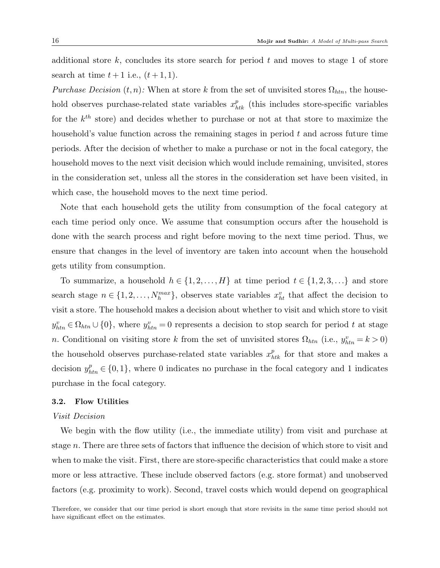additional store  $k$ , concludes its store search for period t and moves to stage 1 of store search at time  $t+1$  i.e.,  $(t+1,1)$ .

*Purchase Decision*  $(t, n)$ : When at store k from the set of unvisited stores  $\Omega_{\text{htn}}$ , the household observes purchase-related state variables  $x_{htk}^p$  (this includes store-specific variables for the  $k^{th}$  store) and decides whether to purchase or not at that store to maximize the household's value function across the remaining stages in period  $t$  and across future time periods. After the decision of whether to make a purchase or not in the focal category, the household moves to the next visit decision which would include remaining, unvisited, stores in the consideration set, unless all the stores in the consideration set have been visited, in which case, the household moves to the next time period.

Note that each household gets the utility from consumption of the focal category at each time period only once. We assume that consumption occurs after the household is done with the search process and right before moving to the next time period. Thus, we ensure that changes in the level of inventory are taken into account when the household gets utility from consumption.

To summarize, a household  $h \in \{1, 2, ..., H\}$  at time period  $t \in \{1, 2, 3, ...\}$  and store search stage  $n \in \{1, 2, ..., N_h^{max}\}\$ , observes state variables  $x_{ht}^v$  that affect the decision to visit a store. The household makes a decision about whether to visit and which store to visit  $y_{\text{min}}^v \in \Omega_{\text{htn}} \cup \{0\}$ , where  $y_{\text{min}}^v = 0$  represents a decision to stop search for period t at stage n. Conditional on visiting store k from the set of unvisited stores  $\Omega_{htn}$  (i.e.,  $y_{htn}^v = k > 0$ ) the household observes purchase-related state variables  $x_{htk}^p$  for that store and makes a decision  $y_{\text{htn}}^p \in \{0, 1\}$ , where 0 indicates no purchase in the focal category and 1 indicates purchase in the focal category.

#### 3.2. Flow Utilities

#### Visit Decision

We begin with the flow utility (i.e., the immediate utility) from visit and purchase at stage n. There are three sets of factors that influence the decision of which store to visit and when to make the visit. First, there are store-specific characteristics that could make a store more or less attractive. These include observed factors (e.g. store format) and unobserved factors (e.g. proximity to work). Second, travel costs which would depend on geographical

Therefore, we consider that our time period is short enough that store revisits in the same time period should not have significant effect on the estimates.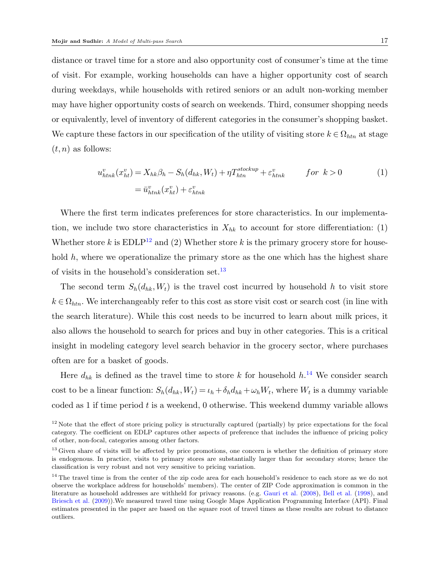distance or travel time for a store and also opportunity cost of consumer's time at the time of visit. For example, working households can have a higher opportunity cost of search during weekdays, while households with retired seniors or an adult non-working member may have higher opportunity costs of search on weekends. Third, consumer shopping needs or equivalently, level of inventory of different categories in the consumer's shopping basket. We capture these factors in our specification of the utility of visiting store  $k \in \Omega_{htn}$  at stage  $(t, n)$  as follows:

$$
u_{htnk}^v(x_{ht}^v) = X_{hk}\beta_h - S_h(d_{hk}, W_t) + \eta T_{htn}^{stockup} + \varepsilon_{htnk}^v \qquad for \ k > 0
$$
  

$$
= \bar{u}_{htnk}^v(x_{ht}^v) + \varepsilon_{htnk}^v \qquad (1)
$$

Where the first term indicates preferences for store characteristics. In our implementation, we include two store characteristics in  $X_{hk}$  to account for store differentiation: (1) Whether store k is  $EDLP^{12}$  $EDLP^{12}$  $EDLP^{12}$  and (2) Whether store k is the primary grocery store for household  $h$ , where we operationalize the primary store as the one which has the highest share of visits in the household's consideration set.<sup>[13](#page-17-1)</sup>

The second term  $S_h(d_{hk},W_t)$  is the travel cost incurred by household h to visit store  $k \in \Omega_{htn}$ . We interchangeably refer to this cost as store visit cost or search cost (in line with the search literature). While this cost needs to be incurred to learn about milk prices, it also allows the household to search for prices and buy in other categories. This is a critical insight in modeling category level search behavior in the grocery sector, where purchases often are for a basket of goods.

Here  $d_{hk}$  is defined as the travel time to store k for household  $h^{14}$  $h^{14}$  $h^{14}$ . We consider search cost to be a linear function:  $S_h(d_{hk}, W_t) = \iota_h + \delta_h d_{hk} + \omega_h W_t$ , where  $W_t$  is a dummy variable coded as 1 if time period t is a weekend, 0 otherwise. This weekend dummy variable allows

<span id="page-17-0"></span> $12$  Note that the effect of store pricing policy is structurally captured (partially) by price expectations for the focal category. The coefficient on EDLP captures other aspects of preference that includes the influence of pricing policy of other, non-focal, categories among other factors.

<span id="page-17-1"></span><sup>&</sup>lt;sup>13</sup> Given share of visits will be affected by price promotions, one concern is whether the definition of primary store is endogenous. In practice, visits to primary stores are substantially larger than for secondary stores; hence the classification is very robust and not very sensitive to pricing variation.

<span id="page-17-2"></span><sup>&</sup>lt;sup>14</sup> The travel time is from the center of the zip code area for each household's residence to each store as we do not observe the workplace address for households' members). The center of ZIP Code approximation is common in the literature as household addresses are withheld for privacy reasons. (e.g. [Gauri et al.](#page-41-0) [\(2008\)](#page-41-0), [Bell et al.](#page-41-6) [\(1998\)](#page-41-6), and [Briesch et al.](#page-41-12) [\(2009\)](#page-41-12)).We measured travel time using Google Maps Application Programming Interface (API). Final estimates presented in the paper are based on the square root of travel times as these results are robust to distance outliers.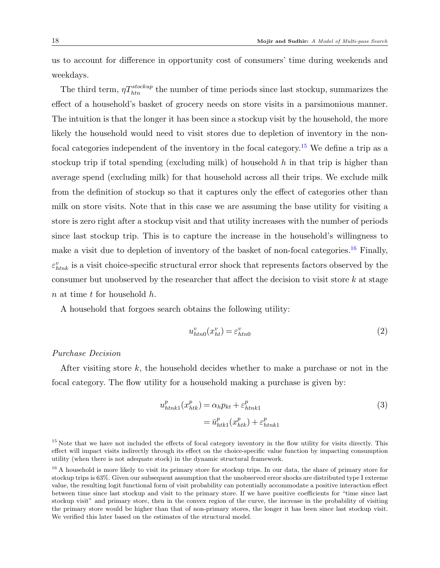us to account for difference in opportunity cost of consumers' time during weekends and weekdays.

The third term,  $\eta T_{\text{ht}n}^{stockup}$  the number of time periods since last stockup, summarizes the effect of a household's basket of grocery needs on store visits in a parsimonious manner. The intuition is that the longer it has been since a stockup visit by the household, the more likely the household would need to visit stores due to depletion of inventory in the non-focal categories independent of the inventory in the focal category.<sup>[15](#page-18-0)</sup> We define a trip as a stockup trip if total spending (excluding milk) of household  $h$  in that trip is higher than average spend (excluding milk) for that household across all their trips. We exclude milk from the definition of stockup so that it captures only the effect of categories other than milk on store visits. Note that in this case we are assuming the base utility for visiting a store is zero right after a stockup visit and that utility increases with the number of periods since last stockup trip. This is to capture the increase in the household's willingness to make a visit due to depletion of inventory of the basket of non-focal categories.<sup>[16](#page-18-1)</sup> Finally,  $\varepsilon_{hhh}^v$  is a visit choice-specific structural error shock that represents factors observed by the consumer but unobserved by the researcher that affect the decision to visit store  $k$  at stage  $n$  at time  $t$  for household  $h$ .

A household that forgoes search obtains the following utility:

<span id="page-18-2"></span>
$$
u_{htn0}^v(x_{ht}^v) = \varepsilon_{htn0}^v \tag{2}
$$

## Purchase Decision

After visiting store k, the household decides whether to make a purchase or not in the focal category. The flow utility for a household making a purchase is given by:

$$
u_{htnk1}^p(x_{htk}^p) = \alpha_h p_{kt} + \varepsilon_{htnk1}^p
$$
  
=  $\bar{u}_{htk1}^p(x_{htk}^p) + \varepsilon_{htnk1}^p$  (3)

<span id="page-18-0"></span><sup>&</sup>lt;sup>15</sup> Note that we have not included the effects of focal category inventory in the flow utility for visits directly. This effect will impact visits indirectly through its effect on the choice-specific value function by impacting consumption utility (when there is not adequate stock) in the dynamic structural framework.

<span id="page-18-1"></span><sup>&</sup>lt;sup>16</sup> A household is more likely to visit its primary store for stockup trips. In our data, the share of primary store for stockup trips is 63%. Given our subsequent assumption that the unobserved error shocks are distributed type I extreme value, the resulting logit functional form of visit probability can potentially accommodate a positive interaction effect between time since last stockup and visit to the primary store. If we have positive coefficients for "time since last stockup visit" and primary store, then in the convex region of the curve, the increase in the probability of visiting the primary store would be higher than that of non-primary stores, the longer it has been since last stockup visit. We verified this later based on the estimates of the structural model.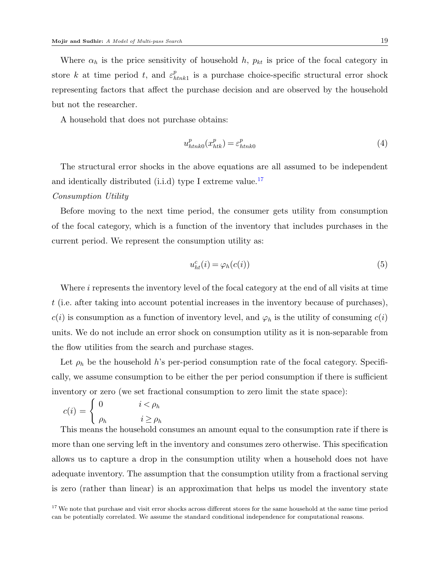Where  $\alpha_h$  is the price sensitivity of household h,  $p_{kt}$  is price of the focal category in store k at time period t, and  $\varepsilon_h^p$  $_{\text{think1}}^p$  is a purchase choice-specific structural error shock representing factors that affect the purchase decision and are observed by the household but not the researcher.

A household that does not purchase obtains:

$$
u_{htnko}^p(x_{htk}^p) = \varepsilon_{htnko}^p \tag{4}
$$

The structural error shocks in the above equations are all assumed to be independent and identically distributed (i.i.d) type I extreme value.<sup>[17](#page-19-0)</sup>

## Consumption Utility

Before moving to the next time period, the consumer gets utility from consumption of the focal category, which is a function of the inventory that includes purchases in the current period. We represent the consumption utility as:

<span id="page-19-1"></span>
$$
u_{ht}^c(i) = \varphi_h(c(i))\tag{5}
$$

Where *i* represents the inventory level of the focal category at the end of all visits at time t (i.e. after taking into account potential increases in the inventory because of purchases),  $c(i)$  is consumption as a function of inventory level, and  $\varphi_h$  is the utility of consuming  $c(i)$ units. We do not include an error shock on consumption utility as it is non-separable from the flow utilities from the search and purchase stages.

Let  $\rho_h$  be the household h's per-period consumption rate of the focal category. Specifically, we assume consumption to be either the per period consumption if there is sufficient inventory or zero (we set fractional consumption to zero limit the state space):

$$
c(i) = \begin{cases} 0 & i < \rho_h \\ \rho_h & i \ge \rho_h \end{cases}
$$

This means the household consumes an amount equal to the consumption rate if there is more than one serving left in the inventory and consumes zero otherwise. This specification allows us to capture a drop in the consumption utility when a household does not have adequate inventory. The assumption that the consumption utility from a fractional serving is zero (rather than linear) is an approximation that helps us model the inventory state

<span id="page-19-0"></span><sup>17</sup> We note that purchase and visit error shocks across different stores for the same household at the same time period can be potentially correlated. We assume the standard conditional independence for computational reasons.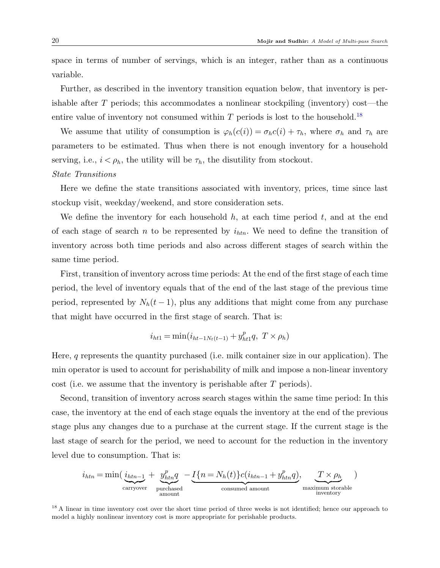space in terms of number of servings, which is an integer, rather than as a continuous variable.

Further, as described in the inventory transition equation below, that inventory is perishable after  $T$  periods; this accommodates a nonlinear stockpiling (inventory) cost—the entire value of inventory not consumed within  $T$  periods is lost to the household.<sup>[18](#page-20-0)</sup>

We assume that utility of consumption is  $\varphi_h(c(i)) = \sigma_h c(i) + \tau_h$ , where  $\sigma_h$  and  $\tau_h$  are parameters to be estimated. Thus when there is not enough inventory for a household serving, i.e.,  $i < \rho_h$ , the utility will be  $\tau_h$ , the disutility from stockout.

#### State Transitions

Here we define the state transitions associated with inventory, prices, time since last stockup visit, weekday/weekend, and store consideration sets.

We define the inventory for each household  $h$ , at each time period  $t$ , and at the end of each stage of search n to be represented by  $i_{htn}$ . We need to define the transition of inventory across both time periods and also across different stages of search within the same time period.

First, transition of inventory across time periods: At the end of the first stage of each time period, the level of inventory equals that of the end of the last stage of the previous time period, represented by  $N_h(t-1)$ , plus any additions that might come from any purchase that might have occurred in the first stage of search. That is:

$$
i_{ht1} = \min(i_{ht-1N_t(t-1)} + y_{ht1}^p q, T \times \rho_h)
$$

Here, q represents the quantity purchased (i.e. milk container size in our application). The min operator is used to account for perishability of milk and impose a non-linear inventory cost (i.e. we assume that the inventory is perishable after T periods).

Second, transition of inventory across search stages within the same time period: In this case, the inventory at the end of each stage equals the inventory at the end of the previous stage plus any changes due to a purchase at the current stage. If the current stage is the last stage of search for the period, we need to account for the reduction in the inventory level due to consumption. That is:

$$
i_{htn} = \min(\underbrace{i_{htn-1}}_{\text{carryover}} + \underbrace{y_{htn}^p q}_{\text{purchased}} - \underbrace{I\{n = N_h(t)\} c(i_{htn-1} + y_{htn}^p q)}_{\text{consumed amount}}, \underbrace{T \times \rho_h}_{\text{maximum storable}})
$$

<span id="page-20-0"></span><sup>18</sup> A linear in time inventory cost over the short time period of three weeks is not identified; hence our approach to model a highly nonlinear inventory cost is more appropriate for perishable products.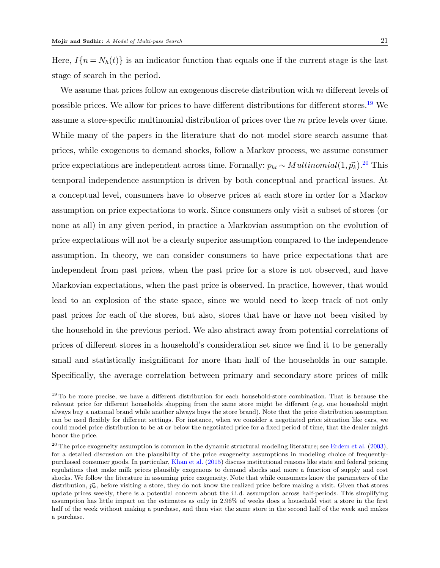Here,  $I\{n = N_h(t)\}\$ is an indicator function that equals one if the current stage is the last stage of search in the period.

We assume that prices follow an exogenous discrete distribution with m different levels of possible prices. We allow for prices to have different distributions for different stores.[19](#page-21-0) We assume a store-specific multinomial distribution of prices over the  $m$  price levels over time. While many of the papers in the literature that do not model store search assume that prices, while exogenous to demand shocks, follow a Markov process, we assume consumer price expectations are independent across time. Formally:  $p_{kt} \sim Multinomial(1, \vec{p_k})$ .<sup>[20](#page-21-1)</sup> This temporal independence assumption is driven by both conceptual and practical issues. At a conceptual level, consumers have to observe prices at each store in order for a Markov assumption on price expectations to work. Since consumers only visit a subset of stores (or none at all) in any given period, in practice a Markovian assumption on the evolution of price expectations will not be a clearly superior assumption compared to the independence assumption. In theory, we can consider consumers to have price expectations that are independent from past prices, when the past price for a store is not observed, and have Markovian expectations, when the past price is observed. In practice, however, that would lead to an explosion of the state space, since we would need to keep track of not only past prices for each of the stores, but also, stores that have or have not been visited by the household in the previous period. We also abstract away from potential correlations of prices of different stores in a household's consideration set since we find it to be generally small and statistically insignificant for more than half of the households in our sample. Specifically, the average correlation between primary and secondary store prices of milk

<span id="page-21-0"></span> $19$  To be more precise, we have a different distribution for each household-store combination. That is because the relevant price for different households shopping from the same store might be different (e.g. one household might always buy a national brand while another always buys the store brand). Note that the price distribution assumption can be used flexibly for different settings. For instance, when we consider a negotiated price situation like cars, we could model price distribution to be at or below the negotiated price for a fixed period of time, that the dealer might honor the price.

<span id="page-21-1"></span> $20$  The price exogeneity assumption is common in the dynamic structural modeling literature; see [Erdem et al.](#page-41-4) [\(2003\)](#page-41-4), for a detailed discussion on the plausibility of the price exogeneity assumptions in modeling choice of frequentlypurchased consumer goods. In particular, [Khan et al.](#page-42-17) [\(2015\)](#page-42-17) discuss institutional reasons like state and federal pricing regulations that make milk prices plausibly exogenous to demand shocks and more a function of supply and cost shocks. We follow the literature in assuming price exogeneity. Note that while consumers know the parameters of the distribution,  $\vec{p}_k$ , before visiting a store, they do not know the realized price before making a visit. Given that stores update prices weekly, there is a potential concern about the i.i.d. assumption across half-periods. This simplifying assumption has little impact on the estimates as only in 2.96% of weeks does a household visit a store in the first half of the week without making a purchase, and then visit the same store in the second half of the week and makes a purchase.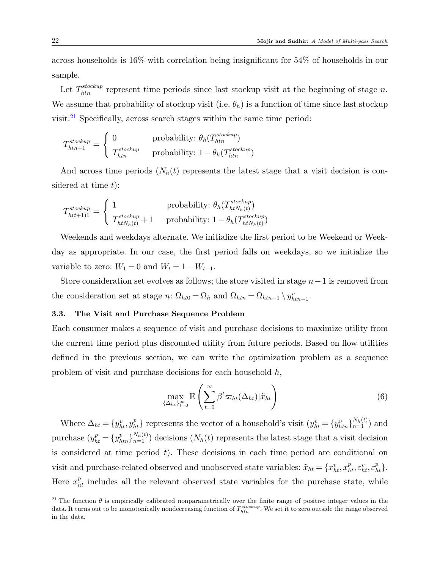across households is 16% with correlation being insignificant for 54% of households in our sample.

Let  $T_{\text{min}}^{\text{stockup}}$  represent time periods since last stockup visit at the beginning of stage n. We assume that probability of stockup visit (i.e.  $\theta_h$ ) is a function of time since last stockup visit. $21$  Specifically, across search stages within the same time period:

$$
T_{htn+1}^{stockup} = \begin{cases} 0 & \text{probability: } \theta_h(T_{htn}^{stockup}) \\ T_{htn}^{stockup} & \text{probability: } 1 - \theta_h(T_{htn}^{stockup}) \end{cases}
$$

And across time periods  $(N_h(t))$  represents the latest stage that a visit decision is considered at time  $t$ :

$$
T_{h(t+1)1}^{stockup} = \begin{cases} 1 & \text{probability: } \theta_h(T_{h t N_h(t)}^{stockup}) \\ T_{h t N_h(t)}^{stockup} + 1 & \text{probability: } 1 - \theta_h(T_{h t N_h(t)}^{stockup}) \end{cases}
$$

Weekends and weekdays alternate. We initialize the first period to be Weekend or Weekday as appropriate. In our case, the first period falls on weekdays, so we initialize the variable to zero:  $W_1 = 0$  and  $W_t = 1 - W_{t-1}$ .

Store consideration set evolves as follows; the store visited in stage  $n-1$  is removed from the consideration set at stage  $n: \Omega_{ht0} = \Omega_h$  and  $\Omega_{htn} = \Omega_{htn-1} \setminus y_{htn-1}^v$ .

#### 3.3. The Visit and Purchase Sequence Problem

Each consumer makes a sequence of visit and purchase decisions to maximize utility from the current time period plus discounted utility from future periods. Based on flow utilities defined in the previous section, we can write the optimization problem as a sequence problem of visit and purchase decisions for each household h,

$$
\max_{\{\Delta_{ht}\}_{t=0}^{\infty}} \mathbb{E}\left(\sum_{t=0}^{\infty} \beta^t \varpi_{ht}(\Delta_{ht}) | \tilde{x}_{ht}\right) \tag{6}
$$

Where  $\Delta_{ht} = \{y_{ht}^v, y_{ht}^p\}$  represents the vector of a household's visit  $(y_{ht}^v = \{y_{htn}^v\}_{n=1}^{N_h(t)})$  and purchase  $(y_{ht}^p = \{y_{htn}^p\}_{n=1}^{N_h(t)})$  decisions  $(N_h(t)$  represents the latest stage that a visit decision is considered at time period  $t$ ). These decisions in each time period are conditional on visit and purchase-related observed and unobserved state variables:  $\tilde{x}_{ht} = \{x_{ht}^v, x_{ht}^p, \varepsilon_{ht}^v, \varepsilon_{ht}^p\}.$ Here  $x_{ht}^p$  includes all the relevant observed state variables for the purchase state, while

<span id="page-22-0"></span><sup>&</sup>lt;sup>21</sup> The function  $\theta$  is empirically calibrated nonparametrically over the finite range of positive integer values in the data. It turns out to be monotonically nondecreasing function of  $T_{htn}^{stockup}$ . We set it to zero outside the range observed in the data.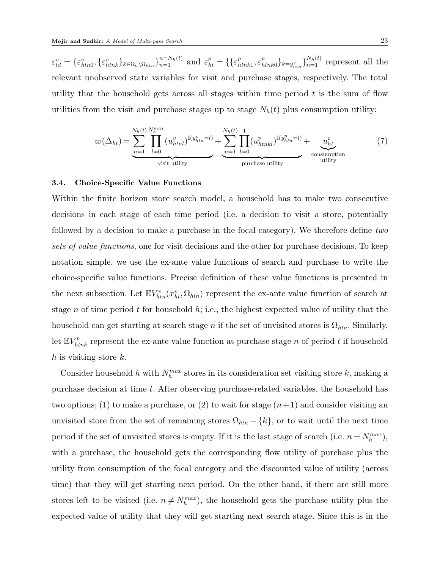$\varepsilon_{ht}^v = \{ \varepsilon_{htn0}^v, \{ \varepsilon_{htnk}^v \}_{k \in \Omega_h \setminus \Omega_{htn}} \}_{n=1}^{n=N_h(t)} \text{ and } \varepsilon_{ht}^p = \{ \{ \varepsilon_h^p \}_{k \in \Omega_h} \}_{n=1}^{n}$  $_{htnk1}^{p},\varepsilon _{h}^{p}$  ${}_{htnk0}^{p}$ } ${}_{k=y_{htn}^v}$  ${}_{h}^{N_h(t)}$  represent all the relevant unobserved state variables for visit and purchase stages, respectively. The total utility that the household gets across all stages within time period  $t$  is the sum of flow utilities from the visit and purchase stages up to stage  $N_h(t)$  plus consumption utility:

$$
\varpi(\Delta_{ht}) = \underbrace{\sum_{n=1}^{N_h(t)} \prod_{l=0}^{N_max} (u_{hth}^v)^{\mathbb{I}(y_{hth}^v = l)}}_{\text{visit utility}} + \underbrace{\sum_{n=1}^{N_h(t)} \prod_{l=0}^{1} (u_{hthkl}^p)^{\mathbb{I}(y_{hth}^p = l)}}_{\text{purchase utility}} + \underbrace{u_{ht}^c}_{\text{consumption}} \tag{7}
$$

#### 3.4. Choice-Specific Value Functions

Within the finite horizon store search model, a household has to make two consecutive decisions in each stage of each time period (i.e. a decision to visit a store, potentially followed by a decision to make a purchase in the focal category). We therefore define two sets of value functions, one for visit decisions and the other for purchase decisions. To keep notation simple, we use the ex-ante value functions of search and purchase to write the choice-specific value functions. Precise definition of these value functions is presented in the next subsection. Let  $\mathbb{E} V_{htn}^v(x_{ht}^v, \Omega_{htn})$  represent the ex-ante value function of search at stage n of time period t for household  $h$ ; i.e., the highest expected value of utility that the household can get starting at search stage n if the set of unvisited stores is  $\Omega_{htn}$ . Similarly, let  $\mathbb{E} V_{htnk}^p$  represent the ex-ante value function at purchase stage n of period t if household h is visiting store  $k$ .

Consider household h with  $N_h^{max}$  stores in its consideration set visiting store k, making a purchase decision at time t. After observing purchase-related variables, the household has two options; (1) to make a purchase, or (2) to wait for stage  $(n+1)$  and consider visiting an unvisited store from the set of remaining stores  $\Omega_{htn} - \{k\}$ , or to wait until the next time period if the set of unvisited stores is empty. If it is the last stage of search (i.e.  $n = N_h^{max}$ ), with a purchase, the household gets the corresponding flow utility of purchase plus the utility from consumption of the focal category and the discounted value of utility (across time) that they will get starting next period. On the other hand, if there are still more stores left to be visited (i.e.  $n \neq N_h^{max}$ ), the household gets the purchase utility plus the expected value of utility that they will get starting next search stage. Since this is in the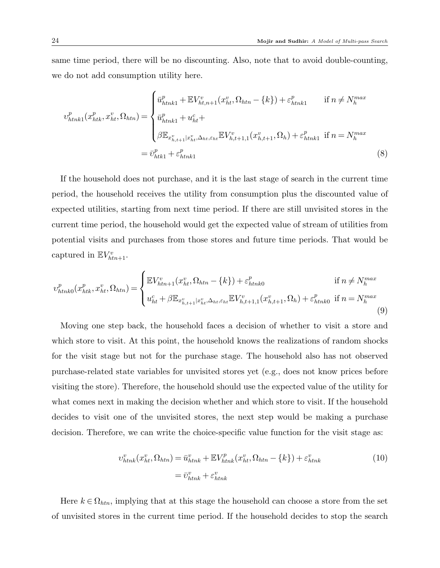same time period, there will be no discounting. Also, note that to avoid double-counting, we do not add consumption utility here.

$$
v_{htnkl}^{p}(x_{htk}^{p}, x_{ht}^{v}, \Omega_{htn}) = \begin{cases} \bar{u}_{htnkl}^{p} + \mathbb{E}V_{ht,n+1}^{v}(x_{ht}^{v}, \Omega_{htn} - \{k\}) + \varepsilon_{htnkl}^{p} & \text{if } n \neq N_{h}^{max} \\ \bar{u}_{htnkl}^{p} + u_{ht}^{c} + \\ \beta \mathbb{E}_{x_{h,t+1}^{v}|x_{ht}^{v}, \Delta_{ht}, \varepsilon_{ht}} \mathbb{E}V_{h,t+1,1}^{v}(x_{h,t+1}^{v}, \Omega_{h}) + \varepsilon_{htnkl}^{p} & \text{if } n = N_{h}^{max} \\ \end{cases}
$$

$$
= \bar{v}_{htk1}^{p} + \varepsilon_{htnkl1}^{p}
$$
(8)

If the household does not purchase, and it is the last stage of search in the current time period, the household receives the utility from consumption plus the discounted value of expected utilities, starting from next time period. If there are still unvisited stores in the current time period, the household would get the expected value of stream of utilities from potential visits and purchases from those stores and future time periods. That would be captured in  $\mathbb{E} V_{htn+1}^v$ .

$$
v_{htnk0}^{p}(x_{htk}^{p}, x_{ht}^{v}, \Omega_{htn}) = \begin{cases} \mathbb{E}V_{htn+1}^{v}(x_{ht}^{v}, \Omega_{htn} - \{k\}) + \varepsilon_{htnk0}^{p} & \text{if } n \neq N_{h}^{max} \\ u_{ht}^{c} + \beta \mathbb{E}_{x_{h,t+1}^{v}|x_{ht}^{v}, \Delta_{ht}, \varepsilon_{ht}} \mathbb{E}V_{h,t+1,1}^{v}(x_{h,t+1}^{v}, \Omega_{h}) + \varepsilon_{htnk0}^{p} & \text{if } n = N_{h}^{max} \end{cases}
$$
(9)

Moving one step back, the household faces a decision of whether to visit a store and which store to visit. At this point, the household knows the realizations of random shocks for the visit stage but not for the purchase stage. The household also has not observed purchase-related state variables for unvisited stores yet (e.g., does not know prices before visiting the store). Therefore, the household should use the expected value of the utility for what comes next in making the decision whether and which store to visit. If the household decides to visit one of the unvisited stores, the next step would be making a purchase decision. Therefore, we can write the choice-specific value function for the visit stage as:

$$
v_{htnk}^v(x_{ht}^v, \Omega_{htn}) = \bar{u}_{htnk}^v + \mathbb{E}V_{htnk}^p(x_{ht}^v, \Omega_{htn} - \{k\}) + \varepsilon_{htnk}^v
$$
  

$$
= \bar{v}_{htnk}^v + \varepsilon_{htnk}^v
$$
 (10)

Here  $k \in \Omega_{htn}$ , implying that at this stage the household can choose a store from the set of unvisited stores in the current time period. If the household decides to stop the search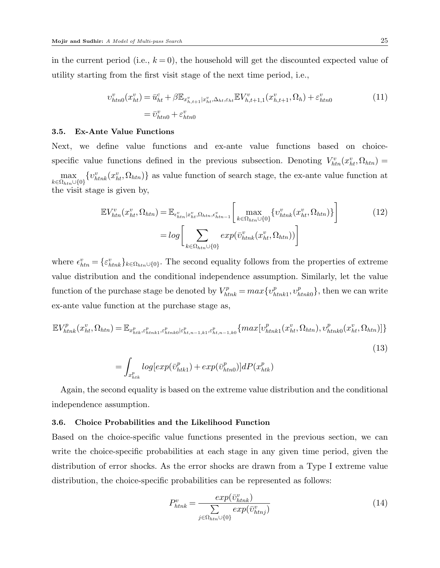in the current period (i.e.,  $k = 0$ ), the household will get the discounted expected value of utility starting from the first visit stage of the next time period, i.e.,

$$
v_{htn0}^{v}(x_{ht}^{v}) = \bar{u}_{ht}^{c} + \beta \mathbb{E}_{x_{h,t+1}^{v}|x_{ht}^{v}, \Delta_{ht}, \varepsilon_{ht}} \mathbb{E} V_{h,t+1,1}^{v}(x_{h,t+1}^{v}, \Omega_{h}) + \varepsilon_{htn0}^{v}
$$
\n
$$
= \bar{v}_{htn0}^{v} + \varepsilon_{htn0}^{v}
$$
\n(11)

#### 3.5. Ex-Ante Value Functions

Next, we define value functions and ex-ante value functions based on choicespecific value functions defined in the previous subsection. Denoting  $V_{htn}^v(x_{ht}^v, \Omega_{htn}) =$ max  $k \in \Omega_{htn} \cup \{0\}$  $\{v_{\text{thnk}}^v(x_{\text{ht}}^v, \Omega_{\text{htn}})\}\$ as value function of search stage, the ex-ante value function at the visit stage is given by,

$$
\mathbb{E}V_{htn}^{v}(x_{ht}^{v},\Omega_{htn}) = \mathbb{E}_{\epsilon_{htn}^{v}|x_{ht}^{v},\Omega_{htn},\epsilon_{htn-1}^{v}}\left[\max_{k \in \Omega_{htn} \cup \{0\}} \{v_{htnk}^{v}(x_{ht}^{v},\Omega_{htn})\}\right]
$$
\n
$$
= \log \left[\sum_{k \in \Omega_{htn} \cup \{0\}} \exp(\bar{v}_{htnk}^{v}(x_{ht}^{v},\Omega_{htn}))\right]
$$
\n(12)

where  $\epsilon_{\text{htn}}^v = {\epsilon_{\text{htnk}}^v}_{k\in\Omega_{\text{htn}}\cup\{0\}}$ . The second equality follows from the properties of extreme value distribution and the conditional independence assumption. Similarly, let the value function of the purchase stage be denoted by  $V_{htnk}^p = max\{v_h^p\}$  $_{htnk1}^{p},v_{h}^{p}$  $_{\text{htnk0}}^p$ , then we can write ex-ante value function at the purchase stage as,

$$
\mathbb{E}V_{htnk}^{p}(x_{ht}^{v},\Omega_{htn}) = \mathbb{E}_{x_{htk}^{p},\varepsilon_{htnk1}^{p},\varepsilon_{htnk0}^{p}|\varepsilon_{ht,n-1,k1}^{p},\varepsilon_{ht,n-1,k0}^{p}}^{\tilde{p}}\{max[v_{htnk1}^{p}(x_{ht}^{v},\Omega_{htn}),v_{htnk0}^{p}(x_{ht}^{v},\Omega_{htn})]\}
$$
\n
$$
= \int_{x_{htk}^{p}} log(exp(\bar{v}_{htk1}^{p}) + exp(\bar{v}_{htn0}^{p})]dP(x_{htk}^{p})
$$
\n(13)

Again, the second equality is based on the extreme value distribution and the conditional independence assumption.

## 3.6. Choice Probabilities and the Likelihood Function

Based on the choice-specific value functions presented in the previous section, we can write the choice-specific probabilities at each stage in any given time period, given the distribution of error shocks. As the error shocks are drawn from a Type I extreme value distribution, the choice-specific probabilities can be represented as follows:

$$
P_{htnk}^{v} = \frac{exp(\bar{v}_{htnk}^{v})}{\sum_{j \in \Omega_{htn} \cup \{0\}} exp(\bar{v}_{htnj}^{v})}
$$
(14)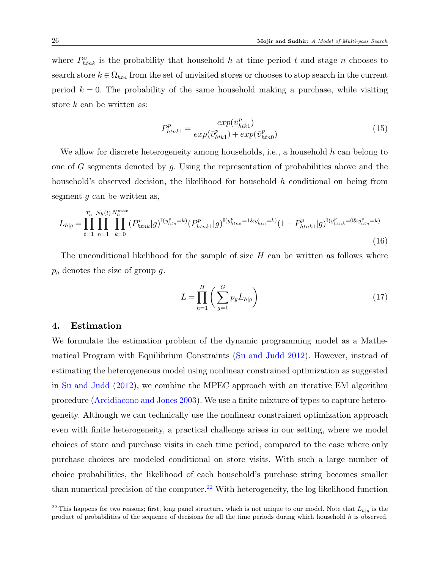where  $P_{htnk}^{v}$  is the probability that household h at time period t and stage n chooses to search store  $k \in \Omega_{htn}$  from the set of unvisited stores or chooses to stop search in the current period  $k = 0$ . The probability of the same household making a purchase, while visiting store  $k$  can be written as:

$$
P_{htnk1}^{p} = \frac{exp(\bar{v}_{htk1}^{p})}{exp(\bar{v}_{htk1}^{p}) + exp(\bar{v}_{htn0}^{p})}
$$
\n(15)

We allow for discrete heterogeneity among households, i.e., a household  $h$  can belong to one of G segments denoted by q. Using the representation of probabilities above and the household's observed decision, the likelihood for household h conditional on being from segment  $g$  can be written as,

$$
L_{h|g} = \prod_{t=1}^{T_h} \prod_{n=1}^{N_h(t)} \prod_{k=0}^{N_h(t)} (P_{htnk}^v | g)^{\mathbb{I}(y_{htn}^v = k)} (P_{htnk1}^p | g)^{\mathbb{I}(y_{htnk}^p = 1 \& y_{htn}^v = k)} (1 - P_{htnk1}^p | g)^{\mathbb{I}(y_{htnk}^p = 0 \& y_{htn}^v = k)} \tag{16}
$$

The unconditional likelihood for the sample of size  $H$  can be written as follows where  $p_g$  denotes the size of group g.

<span id="page-26-2"></span>
$$
L = \prod_{h=1}^{H} \left( \sum_{g=1}^{G} p_g L_{h|g} \right) \tag{17}
$$

## <span id="page-26-0"></span>4. Estimation

We formulate the estimation problem of the dynamic programming model as a Mathematical Program with Equilibrium Constraints [\(Su and Judd](#page-43-2) [2012\)](#page-43-2). However, instead of estimating the heterogeneous model using nonlinear constrained optimization as suggested in [Su and Judd](#page-43-2) [\(2012\)](#page-43-2), we combine the MPEC approach with an iterative EM algorithm procedure [\(Arcidiacono and Jones](#page-41-9) [2003\)](#page-41-9). We use a finite mixture of types to capture heterogeneity. Although we can technically use the nonlinear constrained optimization approach even with finite heterogeneity, a practical challenge arises in our setting, where we model choices of store and purchase visits in each time period, compared to the case where only purchase choices are modeled conditional on store visits. With such a large number of choice probabilities, the likelihood of each household's purchase string becomes smaller than numerical precision of the computer.<sup>[22](#page-26-1)</sup> With heterogeneity, the log likelihood function

<span id="page-26-1"></span><sup>&</sup>lt;sup>22</sup> This happens for two reasons; first, long panel structure, which is not unique to our model. Note that  $L_{h|g}$  is the product of probabilities of the sequence of decisions for all the time periods during which household  $h$  is observed.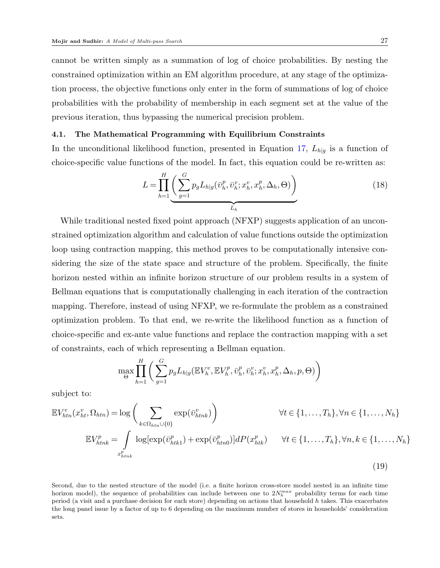cannot be written simply as a summation of log of choice probabilities. By nesting the constrained optimization within an EM algorithm procedure, at any stage of the optimization process, the objective functions only enter in the form of summations of log of choice probabilities with the probability of membership in each segment set at the value of the previous iteration, thus bypassing the numerical precision problem.

#### 4.1. The Mathematical Programming with Equilibrium Constraints

In the unconditional likelihood function, presented in Equation [17,](#page-26-2)  $L_{h|g}$  is a function of choice-specific value functions of the model. In fact, this equation could be re-written as:

$$
L = \prod_{h=1}^{H} \left( \sum_{g=1}^{G} p_g L_{h|g}(\bar{v}_h^p, \bar{v}_h^v; x_h^v, x_h^p, \Delta_h, \Theta) \right)
$$
(18)

While traditional nested fixed point approach (NFXP) suggests application of an unconstrained optimization algorithm and calculation of value functions outside the optimization loop using contraction mapping, this method proves to be computationally intensive considering the size of the state space and structure of the problem. Specifically, the finite horizon nested within an infinite horizon structure of our problem results in a system of Bellman equations that is computationally challenging in each iteration of the contraction mapping. Therefore, instead of using NFXP, we re-formulate the problem as a constrained optimization problem. To that end, we re-write the likelihood function as a function of choice-specific and ex-ante value functions and replace the contraction mapping with a set of constraints, each of which representing a Bellman equation.

$$
\max_{\Theta} \prod_{h=1}^{H} \bigg( \sum_{g=1}^{G} p_g L_{h|g}(\mathbb{E} V_h^v, \mathbb{E} V_h^p, \bar{\nu}_h^v, \bar{\nu}_h^v; x_h^v, x_h^p, \Delta_h, p, \Theta) \bigg)
$$

subject to:

$$
\mathbb{E}V_{htn}^{v}(x_{ht}^{v},\Omega_{htn}) = \log\left(\sum_{k \in \Omega_{htn} \cup \{0\}} \exp(\bar{v}_{htnk}^{v})\right) \qquad \forall t \in \{1,\ldots,T_h\}, \forall n \in \{1,\ldots,N_h\}
$$

$$
\mathbb{E}V_{htnk}^{p} = \int \limits_{x_{htnk}^{p}} \log[\exp(\bar{v}_{htk1}^{p}) + \exp(\bar{v}_{htn0}^{p})]dP(x_{htk}^{p}) \qquad \forall t \in \{1,\ldots,T_h\}, \forall n, k \in \{1,\ldots,N_h\}
$$
(19)

Second, due to the nested structure of the model (i.e. a finite horizon cross-store model nested in an infinite time horizon model), the sequence of probabilities can include between one to  $2N_h^{max}$  probability terms for each time period (a visit and a purchase decision for each store) depending on actions that household  $h$  takes. This exacerbates the long panel issue by a factor of up to 6 depending on the maximum number of stores in households' consideration sets.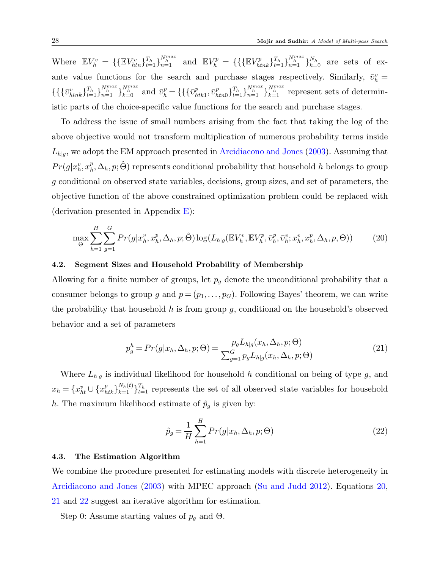Where  $\mathbb{E} V_h^v = \{ \{ \mathbb{E} V_{hhn}^v \}_{t=1}^{T_h} \}_{n=1}^{N_h^{max}}$  and  $\mathbb{E} V_h^p = \{ \{ \{ \mathbb{E} V_{hhh}^p \}_{t=1}^{T_h} \}_{n=1}^{N_h^{max}} \}_{k=0}^{N_h}$  are sets of exante value functions for the search and purchase stages respectively. Similarly,  $\bar{v}_h^v$  =  $\{\{\{\bar{v}_{htnk}^v\}_{t=1}^{T_h}\}_{h=1}^{N_h^{max}}\}_{k=0}^{N_h^{max}}$  and  $\bar{v}_h^p = \{\{\{\bar{v}_h^p\}$  $_{htk1}^p, \bar{\upsilon}_h^p$  $P_{htn0}^{T_h} \}_{t=1}^{N_h^{max}} \}_{h=1}^{N_h^{max}}$  represent sets of deterministic parts of the choice-specific value functions for the search and purchase stages.

To address the issue of small numbers arising from the fact that taking the log of the above objective would not transform multiplication of numerous probability terms inside  $L_{h|g}$ , we adopt the EM approach presented in [Arcidiacono and Jones](#page-41-9) [\(2003\)](#page-41-9). Assuming that  $Pr(g|x_h^v, x_h^p)$  $_h^p$ ,  $\Delta_h$ ,  $p$ ; $\hat{\Theta}$ ) represents conditional probability that household  $h$  belongs to group g conditional on observed state variables, decisions, group sizes, and set of parameters, the objective function of the above constrained optimization problem could be replaced with (derivation presented in Appendix  $E$ ):

<span id="page-28-0"></span>
$$
\max_{\Theta} \sum_{h=1}^{H} \sum_{g=1}^{G} Pr(g|x_h^v, x_h^p, \Delta_h, p; \hat{\Theta}) \log(L_{h|g}(\mathbb{E}V_h^v, \mathbb{E}V_h^p, \bar{v}_h^p, \bar{v}_h^v; x_h^v, x_h^p, \Delta_h, p, \Theta))
$$
(20)

#### 4.2. Segment Sizes and Household Probability of Membership

Allowing for a finite number of groups, let  $p<sub>g</sub>$  denote the unconditional probability that a consumer belongs to group g and  $p = (p_1, \ldots, p_G)$ . Following Bayes' theorem, we can write the probability that household  $h$  is from group  $g$ , conditional on the household's observed behavior and a set of parameters

<span id="page-28-1"></span>
$$
p_g^h = Pr(g|x_h, \Delta_h, p; \Theta) = \frac{p_g L_{h|g}(x_h, \Delta_h, p; \Theta)}{\sum_{g=1}^G p_g L_{h|g}(x_h, \Delta_h, p; \Theta)}
$$
(21)

Where  $L_{h|g}$  is individual likelihood for household h conditional on being of type g, and  $x_h = \{x_{ht}^v \cup \{x_{htk}^p\}_{k=1}^{N_h(t)}\}_{t=1}^{T_h}$  represents the set of all observed state variables for household h. The maximum likelihood estimate of  $\hat{p}_g$  is given by:

<span id="page-28-2"></span>
$$
\hat{p}_g = \frac{1}{H} \sum_{h=1}^{H} Pr(g|x_h, \Delta_h, p; \Theta)
$$
\n(22)

#### 4.3. The Estimation Algorithm

We combine the procedure presented for estimating models with discrete heterogeneity in [Arcidiacono and Jones](#page-41-9) [\(2003\)](#page-41-9) with MPEC approach [\(Su and Judd](#page-43-2) [2012\)](#page-43-2). Equations [20,](#page-28-0) [21](#page-28-1) and [22](#page-28-2) suggest an iterative algorithm for estimation.

Step 0: Assume starting values of  $p<sub>g</sub>$  and  $\Theta$ .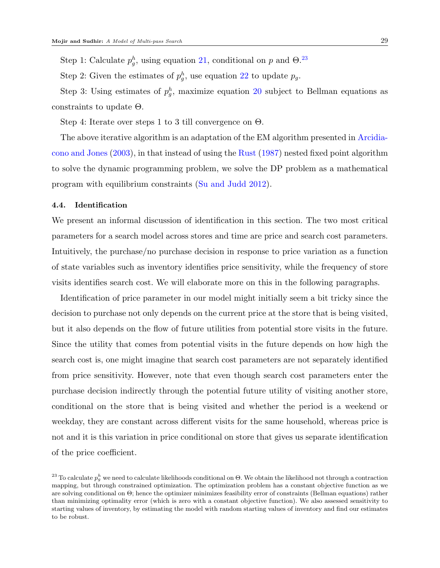Step 1: Calculate  $p_g^h$ , using equation [21,](#page-28-1) conditional on p and  $\Theta$ .<sup>[23](#page-29-0)</sup>

Step 2: Given the estimates of  $p_g^h$ , use equation [22](#page-28-2) to update  $p_g$ .

Step 3: Using estimates of  $p_g^h$ , maximize equation [20](#page-28-0) subject to Bellman equations as constraints to update Θ.

Step 4: Iterate over steps 1 to 3 till convergence on Θ.

The above iterative algorithm is an adaptation of the EM algorithm presented in [Arcidia](#page-41-9)[cono and Jones](#page-41-9) [\(2003\)](#page-41-9), in that instead of using the [Rust](#page-42-18) [\(1987\)](#page-42-18) nested fixed point algorithm to solve the dynamic programming problem, we solve the DP problem as a mathematical program with equilibrium constraints [\(Su and Judd](#page-43-2) [2012\)](#page-43-2).

## 4.4. Identification

We present an informal discussion of identification in this section. The two most critical parameters for a search model across stores and time are price and search cost parameters. Intuitively, the purchase/no purchase decision in response to price variation as a function of state variables such as inventory identifies price sensitivity, while the frequency of store visits identifies search cost. We will elaborate more on this in the following paragraphs.

Identification of price parameter in our model might initially seem a bit tricky since the decision to purchase not only depends on the current price at the store that is being visited, but it also depends on the flow of future utilities from potential store visits in the future. Since the utility that comes from potential visits in the future depends on how high the search cost is, one might imagine that search cost parameters are not separately identified from price sensitivity. However, note that even though search cost parameters enter the purchase decision indirectly through the potential future utility of visiting another store, conditional on the store that is being visited and whether the period is a weekend or weekday, they are constant across different visits for the same household, whereas price is not and it is this variation in price conditional on store that gives us separate identification of the price coefficient.

<span id="page-29-0"></span><sup>&</sup>lt;sup>23</sup> To calculate  $p_g^h$  we need to calculate likelihoods conditional on  $\Theta$ . We obtain the likelihood not through a contraction mapping, but through constrained optimization. The optimization problem has a constant objective function as we are solving conditional on Θ; hence the optimizer minimizes feasibility error of constraints (Bellman equations) rather than minimizing optimality error (which is zero with a constant objective function). We also assessed sensitivity to starting values of inventory, by estimating the model with random starting values of inventory and find our estimates to be robust.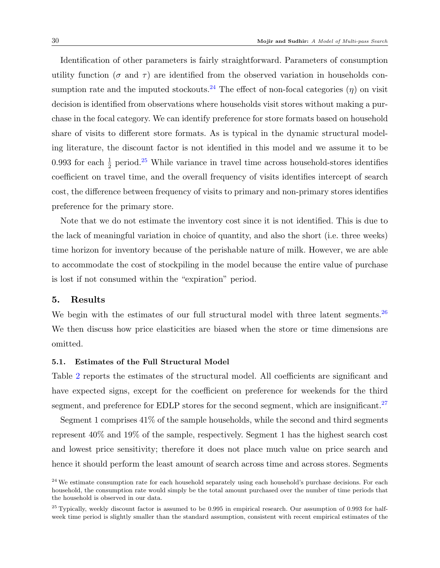Identification of other parameters is fairly straightforward. Parameters of consumption utility function ( $\sigma$  and  $\tau$ ) are identified from the observed variation in households con-sumption rate and the imputed stockouts.<sup>[24](#page-30-1)</sup> The effect of non-focal categories  $(\eta)$  on visit decision is identified from observations where households visit stores without making a purchase in the focal category. We can identify preference for store formats based on household share of visits to different store formats. As is typical in the dynamic structural modeling literature, the discount factor is not identified in this model and we assume it to be 0.993 for each  $\frac{1}{2}$  period.<sup>[25](#page-30-2)</sup> While variance in travel time across household-stores identifies coefficient on travel time, and the overall frequency of visits identifies intercept of search cost, the difference between frequency of visits to primary and non-primary stores identifies preference for the primary store.

Note that we do not estimate the inventory cost since it is not identified. This is due to the lack of meaningful variation in choice of quantity, and also the short (i.e. three weeks) time horizon for inventory because of the perishable nature of milk. However, we are able to accommodate the cost of stockpiling in the model because the entire value of purchase is lost if not consumed within the "expiration" period.

## <span id="page-30-0"></span>5. Results

We begin with the estimates of our full structural model with three latent segments.<sup>[26](#page-31-0)</sup> We then discuss how price elasticities are biased when the store or time dimensions are omitted.

#### 5.1. Estimates of the Full Structural Model

Table [2](#page-31-1) reports the estimates of the structural model. All coefficients are significant and have expected signs, except for the coefficient on preference for weekends for the third segment, and preference for EDLP stores for the second segment, which are insignificant.<sup>[27](#page-31-2)</sup>

Segment 1 comprises 41% of the sample households, while the second and third segments represent 40% and 19% of the sample, respectively. Segment 1 has the highest search cost and lowest price sensitivity; therefore it does not place much value on price search and hence it should perform the least amount of search across time and across stores. Segments

<span id="page-30-1"></span><sup>&</sup>lt;sup>24</sup> We estimate consumption rate for each household separately using each household's purchase decisions. For each household, the consumption rate would simply be the total amount purchased over the number of time periods that the household is observed in our data.

<span id="page-30-2"></span> $^{25}$  Typically, weekly discount factor is assumed to be 0.995 in empirical research. Our assumption of 0.993 for halfweek time period is slightly smaller than the standard assumption, consistent with recent empirical estimates of the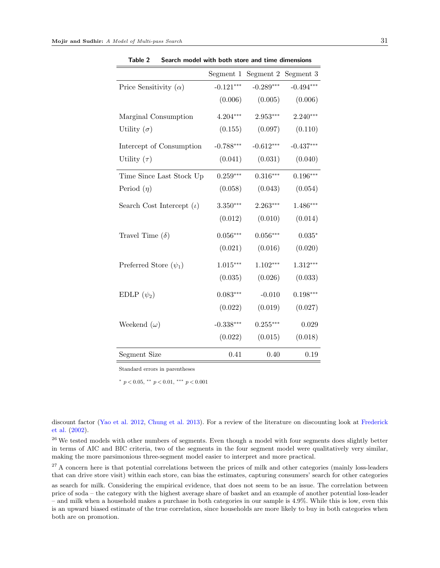<span id="page-31-1"></span>

|                                 | Segment 1   | Segment 2   | Segment 3   |
|---------------------------------|-------------|-------------|-------------|
| Price Sensitivity $(\alpha)$    | $-0.121***$ | $-0.289***$ | $-0.494***$ |
|                                 | (0.006)     | (0.005)     | (0.006)     |
| Marginal Consumption            | $4.204***$  | $2.953***$  | $2.240***$  |
| Utility $(\sigma)$              | (0.155)     | (0.097)     | (0.110)     |
| Intercept of Consumption        | $-0.788***$ | $-0.612***$ | $-0.437***$ |
| Utility $(\tau)$                | (0.041)     | (0.031)     | (0.040)     |
| Time Since Last Stock Up        | $0.259***$  | $0.316***$  | $0.196***$  |
| Period $(\eta)$                 | (0.058)     | (0.043)     | (0.054)     |
| Search Cost Intercept $(\iota)$ | $3.350***$  | $2.263***$  | $1.486***$  |
|                                 | (0.012)     | (0.010)     | (0.014)     |
| Travel Time $(\delta)$          | $0.056***$  | $0.056***$  | $0.035*$    |
|                                 | (0.021)     | (0.016)     | (0.020)     |
| Preferred Store $(\psi_1)$      | $1.015***$  | $1.102***$  | $1.312***$  |
|                                 | (0.035)     | (0.026)     | (0.033)     |
| EDLP $(\psi_2)$                 | $0.083***$  | $-0.010$    | $0.198***$  |
|                                 | (0.022)     | (0.019)     | (0.027)     |
| Weekend $(\omega)$              | $-0.338***$ | $0.255***$  | 0.029       |
|                                 | (0.022)     | (0.015)     | (0.018)     |
| Segment Size                    | 0.41        | 0.40        | 0.19        |

Table 2 Search model with both store and time dimensions

Standard errors in parentheses

\*  $p < 0.05$ , \*\*  $p < 0.01$ , \*\*\*  $p < 0.001$ 

discount factor [\(Yao et al.](#page-43-3) [2012,](#page-43-3) [Chung et al.](#page-41-13) [2013\)](#page-41-13). For a review of the literature on discounting look at [Frederick](#page-41-14) [et al.](#page-41-14) [\(2002\)](#page-41-14).

<span id="page-31-0"></span><sup>26</sup> We tested models with other numbers of segments. Even though a model with four segments does slightly better in terms of AIC and BIC criteria, two of the segments in the four segment model were qualitatively very similar, making the more parsimonious three-segment model easier to interpret and more practical.

<span id="page-31-2"></span><sup>27</sup> A concern here is that potential correlations between the prices of milk and other categories (mainly loss-leaders that can drive store visit) within each store, can bias the estimates, capturing consumers' search for other categories

as search for milk. Considering the empirical evidence, that does not seem to be an issue. The correlation between price of soda – the category with the highest average share of basket and an example of another potential loss-leader – and milk when a household makes a purchase in both categories in our sample is 4.9%. While this is low, even this is an upward biased estimate of the true correlation, since households are more likely to buy in both categories when both are on promotion.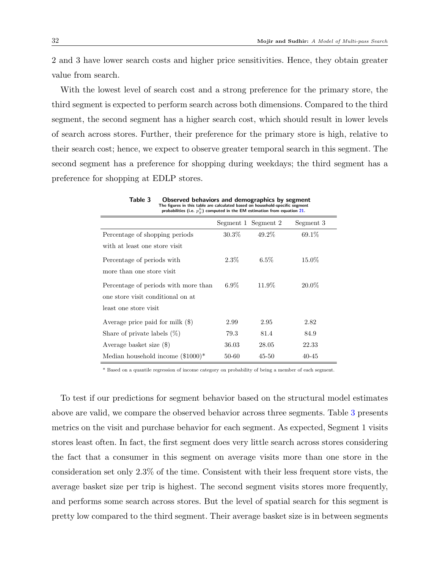2 and 3 have lower search costs and higher price sensitivities. Hence, they obtain greater value from search.

With the lowest level of search cost and a strong preference for the primary store, the third segment is expected to perform search across both dimensions. Compared to the third segment, the second segment has a higher search cost, which should result in lower levels of search across stores. Further, their preference for the primary store is high, relative to their search cost; hence, we expect to observe greater temporal search in this segment. The second segment has a preference for shopping during weekdays; the third segment has a preference for shopping at EDLP stores.

| Table 3 | Observed behaviors and demographics by segment                                |
|---------|-------------------------------------------------------------------------------|
|         | The figures in this table are calculated based on household-specific segment  |
|         | probabilities (i.e. $p_a^h$ ) computed in the EM estimation from equation 21. |

<span id="page-32-0"></span>

|                                      |           | Segment 1 Segment 2 | Segment 3 |
|--------------------------------------|-----------|---------------------|-----------|
| Percentage of shopping periods       | $30.3\%$  | 49.2%               | 69.1%     |
| with at least one store visit        |           |                     |           |
| Percentage of periods with           | $2.3\%$   | $6.5\%$             | 15.0%     |
| more than one store visit            |           |                     |           |
| Percentage of periods with more than | $6.9\%$   | 11.9%               | 20.0%     |
| one store visit conditional on at    |           |                     |           |
| least one store visit                |           |                     |           |
| Average price paid for milk $(\$)$   | 2.99      | 2.95                | 2.82      |
| Share of private labels $(\%)$       | 79.3      | 81.4                | 84.9      |
| Average basket size (\$)             | 36.03     | 28.05               | 22.33     |
| Median household income $(\$1000)*$  | $50 - 60$ | $45 - 50$           | 40-45     |

\* Based on a quantile regression of income category on probability of being a member of each segment.

To test if our predictions for segment behavior based on the structural model estimates above are valid, we compare the observed behavior across three segments. Table [3](#page-32-0) presents metrics on the visit and purchase behavior for each segment. As expected, Segment 1 visits stores least often. In fact, the first segment does very little search across stores considering the fact that a consumer in this segment on average visits more than one store in the consideration set only 2.3% of the time. Consistent with their less frequent store vists, the average basket size per trip is highest. The second segment visits stores more frequently, and performs some search across stores. But the level of spatial search for this segment is pretty low compared to the third segment. Their average basket size is in between segments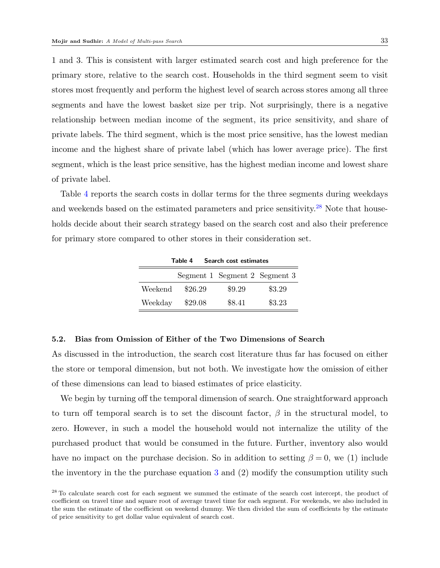1 and 3. This is consistent with larger estimated search cost and high preference for the primary store, relative to the search cost. Households in the third segment seem to visit stores most frequently and perform the highest level of search across stores among all three segments and have the lowest basket size per trip. Not surprisingly, there is a negative relationship between median income of the segment, its price sensitivity, and share of private labels. The third segment, which is the most price sensitive, has the lowest median income and the highest share of private label (which has lower average price). The first segment, which is the least price sensitive, has the highest median income and lowest share of private label.

<span id="page-33-0"></span>Table [4](#page-33-0) reports the search costs in dollar terms for the three segments during weekdays and weekends based on the estimated parameters and price sensitivity.<sup>[28](#page-33-1)</sup> Note that households decide about their search strategy based on the search cost and also their preference for primary store compared to other stores in their consideration set.

| Table 4<br>Search cost estimates |         |        |        |  |  |
|----------------------------------|---------|--------|--------|--|--|
| Segment 1 Segment 2 Segment 3    |         |        |        |  |  |
| Weekend                          | \$26.29 | \$9.29 | \$3.29 |  |  |
| Weekday                          | \$29.08 | \$8.41 | \$3.23 |  |  |

#### <span id="page-33-2"></span>5.2. Bias from Omission of Either of the Two Dimensions of Search

As discussed in the introduction, the search cost literature thus far has focused on either the store or temporal dimension, but not both. We investigate how the omission of either of these dimensions can lead to biased estimates of price elasticity.

We begin by turning off the temporal dimension of search. One straightforward approach to turn off temporal search is to set the discount factor,  $\beta$  in the structural model, to zero. However, in such a model the household would not internalize the utility of the purchased product that would be consumed in the future. Further, inventory also would have no impact on the purchase decision. So in addition to setting  $\beta = 0$ , we (1) include the inventory in the the purchase equation [3](#page-18-2) and (2) modify the consumption utility such

<span id="page-33-1"></span><sup>&</sup>lt;sup>28</sup> To calculate search cost for each segment we summed the estimate of the search cost intercept, the product of coefficient on travel time and square root of average travel time for each segment. For weekends, we also included in the sum the estimate of the coefficient on weekend dummy. We then divided the sum of coefficients by the estimate of price sensitivity to get dollar value equivalent of search cost.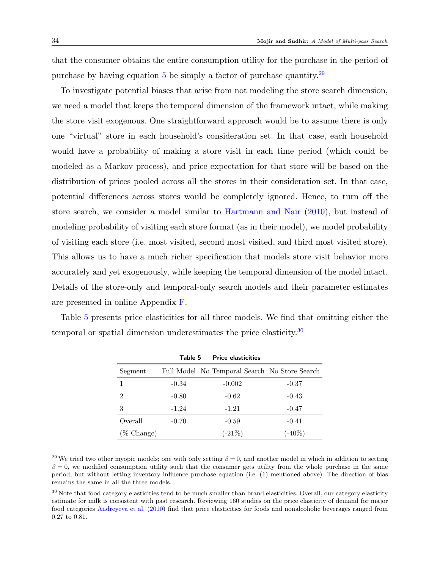that the consumer obtains the entire consumption utility for the purchase in the period of purchase by having equation  $5$  be simply a factor of purchase quantity.<sup>[29](#page-34-0)</sup>

To investigate potential biases that arise from not modeling the store search dimension, we need a model that keeps the temporal dimension of the framework intact, while making the store visit exogenous. One straightforward approach would be to assume there is only one "virtual" store in each household's consideration set. In that case, each household would have a probability of making a store visit in each time period (which could be modeled as a Markov process), and price expectation for that store will be based on the distribution of prices pooled across all the stores in their consideration set. In that case, potential differences across stores would be completely ignored. Hence, to turn off the store search, we consider a model similar to [Hartmann and Nair](#page-42-13) [\(2010\)](#page-42-13), but instead of modeling probability of visiting each store format (as in their model), we model probability of visiting each store (i.e. most visited, second most visited, and third most visited store). This allows us to have a much richer specification that models store visit behavior more accurately and yet exogenously, while keeping the temporal dimension of the model intact. Details of the store-only and temporal-only search models and their parameter estimates are presented in online Appendix [F.](#page-36-0)

<span id="page-34-1"></span>Table [5](#page-34-1) presents price elasticities for all three models. We find that omitting either the temporal or spatial dimension underestimates the price elasticity.<sup>[30](#page-34-2)</sup>

|                       | rabie 5 | <b>Price elasticities</b>                     |           |
|-----------------------|---------|-----------------------------------------------|-----------|
| Segment               |         | Full Model No Temporal Search No Store Search |           |
|                       | $-0.34$ | $-0.002$                                      | $-0.37$   |
| 2                     | $-0.80$ | $-0.62$                                       | $-0.43$   |
| 3                     | $-1.24$ | $-1.21$                                       | $-0.47$   |
| Overall               | $-0.70$ | $-0.59$                                       | $-0.41$   |
| $(\% \text{ Change})$ |         | $(-21\%)$                                     | $(-40\%)$ |

Table 5 Price elasticities

<span id="page-34-0"></span><sup>29</sup> We tried two other myopic models; one with only setting  $\beta = 0$ , and another model in which in addition to setting  $\beta = 0$ , we modified consumption utility such that the consumer gets utility from the whole purchase in the same period, but without letting inventory influence purchase equation (i.e. (1) mentioned above). The direction of bias remains the same in all the three models.

<span id="page-34-2"></span> $30$  Note that food category elasticities tend to be much smaller than brand elasticities. Overall, our category elasticity estimate for milk is consistent with past research. Reviewing 160 studies on the price elasticity of demand for major food categories [Andreyeva et al.](#page-41-15) [\(2010\)](#page-41-15) find that price elasticities for foods and nonalcoholic beverages ranged from 0.27 to 0.81.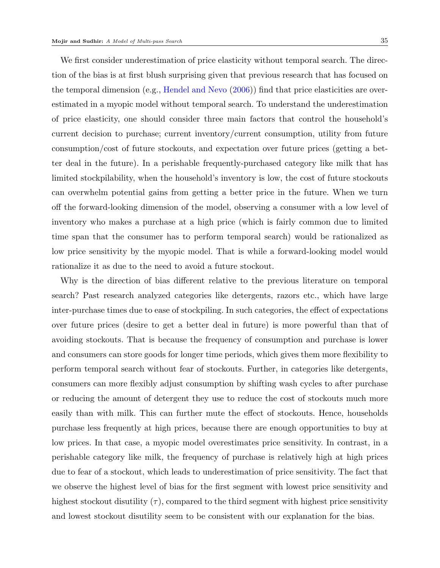We first consider underestimation of price elasticity without temporal search. The direction of the bias is at first blush surprising given that previous research that has focused on the temporal dimension (e.g., [Hendel and Nevo](#page-42-12) [\(2006\)](#page-42-12)) find that price elasticities are overestimated in a myopic model without temporal search. To understand the underestimation of price elasticity, one should consider three main factors that control the household's current decision to purchase; current inventory/current consumption, utility from future consumption/cost of future stockouts, and expectation over future prices (getting a better deal in the future). In a perishable frequently-purchased category like milk that has limited stockpilability, when the household's inventory is low, the cost of future stockouts can overwhelm potential gains from getting a better price in the future. When we turn off the forward-looking dimension of the model, observing a consumer with a low level of inventory who makes a purchase at a high price (which is fairly common due to limited time span that the consumer has to perform temporal search) would be rationalized as low price sensitivity by the myopic model. That is while a forward-looking model would rationalize it as due to the need to avoid a future stockout.

Why is the direction of bias different relative to the previous literature on temporal search? Past research analyzed categories like detergents, razors etc., which have large inter-purchase times due to ease of stockpiling. In such categories, the effect of expectations over future prices (desire to get a better deal in future) is more powerful than that of avoiding stockouts. That is because the frequency of consumption and purchase is lower and consumers can store goods for longer time periods, which gives them more flexibility to perform temporal search without fear of stockouts. Further, in categories like detergents, consumers can more flexibly adjust consumption by shifting wash cycles to after purchase or reducing the amount of detergent they use to reduce the cost of stockouts much more easily than with milk. This can further mute the effect of stockouts. Hence, households purchase less frequently at high prices, because there are enough opportunities to buy at low prices. In that case, a myopic model overestimates price sensitivity. In contrast, in a perishable category like milk, the frequency of purchase is relatively high at high prices due to fear of a stockout, which leads to underestimation of price sensitivity. The fact that we observe the highest level of bias for the first segment with lowest price sensitivity and highest stockout disutility  $(\tau)$ , compared to the third segment with highest price sensitivity and lowest stockout disutility seem to be consistent with our explanation for the bias.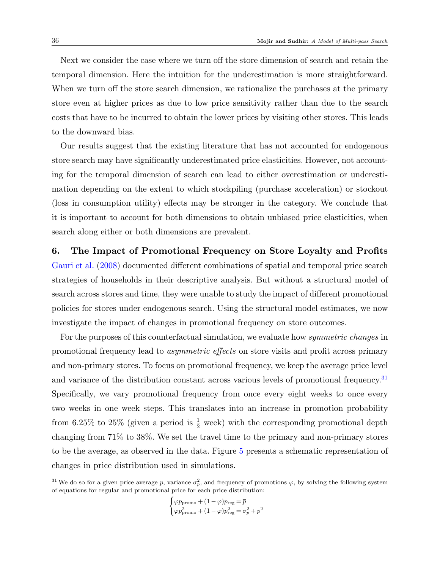Next we consider the case where we turn off the store dimension of search and retain the temporal dimension. Here the intuition for the underestimation is more straightforward. When we turn off the store search dimension, we rationalize the purchases at the primary store even at higher prices as due to low price sensitivity rather than due to the search costs that have to be incurred to obtain the lower prices by visiting other stores. This leads to the downward bias.

Our results suggest that the existing literature that has not accounted for endogenous store search may have significantly underestimated price elasticities. However, not accounting for the temporal dimension of search can lead to either overestimation or underestimation depending on the extent to which stockpiling (purchase acceleration) or stockout (loss in consumption utility) effects may be stronger in the category. We conclude that it is important to account for both dimensions to obtain unbiased price elasticities, when search along either or both dimensions are prevalent.

<span id="page-36-0"></span>6. The Impact of Promotional Frequency on Store Loyalty and Profits [Gauri et al.](#page-41-0) [\(2008\)](#page-41-0) documented different combinations of spatial and temporal price search strategies of households in their descriptive analysis. But without a structural model of search across stores and time, they were unable to study the impact of different promotional policies for stores under endogenous search. Using the structural model estimates, we now investigate the impact of changes in promotional frequency on store outcomes.

For the purposes of this counterfactual simulation, we evaluate how *symmetric changes* in promotional frequency lead to asymmetric effects on store visits and profit across primary and non-primary stores. To focus on promotional frequency, we keep the average price level and variance of the distribution constant across various levels of promotional frequency.<sup>[31](#page-36-1)</sup> Specifically, we vary promotional frequency from once every eight weeks to once every two weeks in one week steps. This translates into an increase in promotion probability from 6.25% to 25% (given a period is  $\frac{1}{2}$  week) with the corresponding promotional depth changing from 71% to 38%. We set the travel time to the primary and non-primary stores to be the average, as observed in the data. Figure [5](#page-37-0) presents a schematic representation of changes in price distribution used in simulations.

<span id="page-36-1"></span><sup>31</sup> We do so for a given price average  $\bar{p}$ , variance  $\sigma_p^2$ , and frequency of promotions  $\varphi$ , by solving the following system of equations for regular and promotional price for each price distribution:

$$
\begin{cases} \varphi p_{\text{promo}} + (1-\varphi) p_{\text{reg}} = \overline{p} \\ \varphi p_{\text{promo}}^2 + (1-\varphi) p_{\text{reg}}^2 = \sigma_p^2 + \overline{p}^2 \end{cases}
$$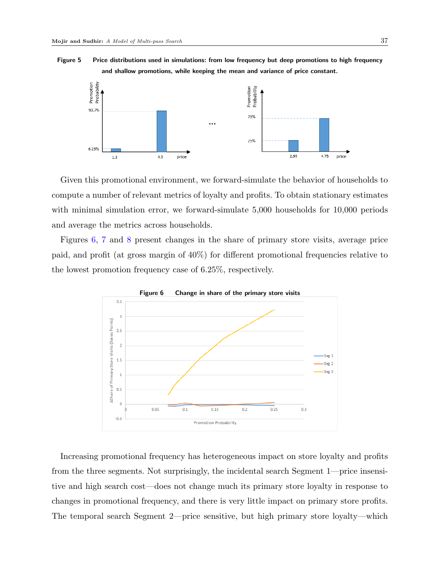<span id="page-37-0"></span>Figure 5 Price distributions used in simulations: from low frequency but deep promotions to high frequency and shallow promotions, while keeping the mean and variance of price constant.



Given this promotional environment, we forward-simulate the behavior of households to compute a number of relevant metrics of loyalty and profits. To obtain stationary estimates with minimal simulation error, we forward-simulate 5,000 households for 10,000 periods and average the metrics across households.

Figures [6,](#page-37-1) [7](#page-38-0) and [8](#page-38-1) present changes in the share of primary store visits, average price paid, and profit (at gross margin of 40%) for different promotional frequencies relative to the lowest promotion frequency case of 6.25%, respectively.

<span id="page-37-1"></span>

Increasing promotional frequency has heterogeneous impact on store loyalty and profits from the three segments. Not surprisingly, the incidental search Segment 1—price insensitive and high search cost—does not change much its primary store loyalty in response to changes in promotional frequency, and there is very little impact on primary store profits. The temporal search Segment 2—price sensitive, but high primary store loyalty—which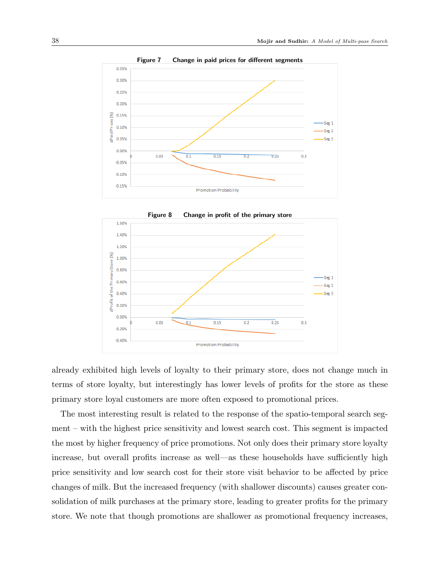<span id="page-38-0"></span>

<span id="page-38-1"></span>

already exhibited high levels of loyalty to their primary store, does not change much in terms of store loyalty, but interestingly has lower levels of profits for the store as these primary store loyal customers are more often exposed to promotional prices.

The most interesting result is related to the response of the spatio-temporal search segment – with the highest price sensitivity and lowest search cost. This segment is impacted the most by higher frequency of price promotions. Not only does their primary store loyalty increase, but overall profits increase as well—as these households have sufficiently high price sensitivity and low search cost for their store visit behavior to be affected by price changes of milk. But the increased frequency (with shallower discounts) causes greater consolidation of milk purchases at the primary store, leading to greater profits for the primary store. We note that though promotions are shallower as promotional frequency increases,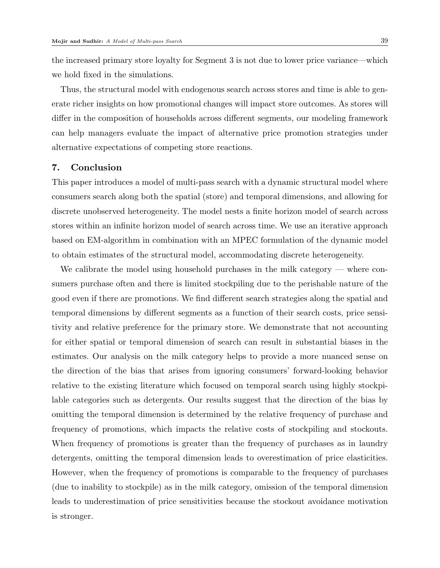the increased primary store loyalty for Segment 3 is not due to lower price variance—which we hold fixed in the simulations.

Thus, the structural model with endogenous search across stores and time is able to generate richer insights on how promotional changes will impact store outcomes. As stores will differ in the composition of households across different segments, our modeling framework can help managers evaluate the impact of alternative price promotion strategies under alternative expectations of competing store reactions.

## <span id="page-39-0"></span>7. Conclusion

This paper introduces a model of multi-pass search with a dynamic structural model where consumers search along both the spatial (store) and temporal dimensions, and allowing for discrete unobserved heterogeneity. The model nests a finite horizon model of search across stores within an infinite horizon model of search across time. We use an iterative approach based on EM-algorithm in combination with an MPEC formulation of the dynamic model to obtain estimates of the structural model, accommodating discrete heterogeneity.

We calibrate the model using household purchases in the milk category — where consumers purchase often and there is limited stockpiling due to the perishable nature of the good even if there are promotions. We find different search strategies along the spatial and temporal dimensions by different segments as a function of their search costs, price sensitivity and relative preference for the primary store. We demonstrate that not accounting for either spatial or temporal dimension of search can result in substantial biases in the estimates. Our analysis on the milk category helps to provide a more nuanced sense on the direction of the bias that arises from ignoring consumers' forward-looking behavior relative to the existing literature which focused on temporal search using highly stockpilable categories such as detergents. Our results suggest that the direction of the bias by omitting the temporal dimension is determined by the relative frequency of purchase and frequency of promotions, which impacts the relative costs of stockpiling and stockouts. When frequency of promotions is greater than the frequency of purchases as in laundry detergents, omitting the temporal dimension leads to overestimation of price elasticities. However, when the frequency of promotions is comparable to the frequency of purchases (due to inability to stockpile) as in the milk category, omission of the temporal dimension leads to underestimation of price sensitivities because the stockout avoidance motivation is stronger.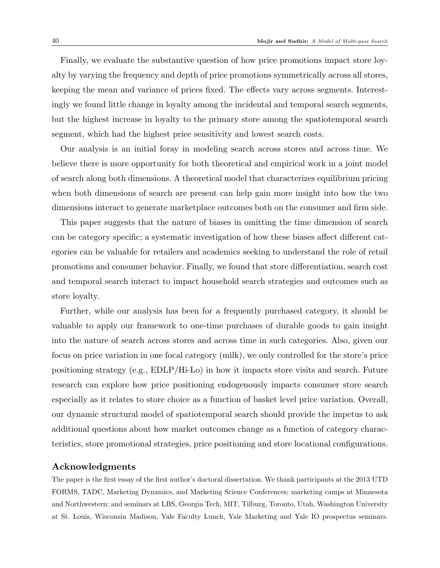Finally, we evaluate the substantive question of how price promotions impact store loyalty by varying the frequency and depth of price promotions symmetrically across all stores, keeping the mean and variance of prices fixed. The effects vary across segments. Interestingly we found little change in loyalty among the incidental and temporal search segments, but the highest increase in loyalty to the primary store among the spatiotemporal search segment, which had the highest price sensitivity and lowest search costs.

Our analysis is an initial foray in modeling search across stores and across time. We believe there is more opportunity for both theoretical and empirical work in a joint model of search along both dimensions. A theoretical model that characterizes equilibrium pricing when both dimensions of search are present can help gain more insight into how the two dimensions interact to generate marketplace outcomes both on the consumer and firm side.

This paper suggests that the nature of biases in omitting the time dimension of search can be category specific; a systematic investigation of how these biases affect different categories can be valuable for retailers and academics seeking to understand the role of retail promotions and consumer behavior. Finally, we found that store differentiation, search cost and temporal search interact to impact household search strategies and outcomes such as store loyalty.

Further, while our analysis has been for a frequently purchased category, it should be valuable to apply our framework to one-time purchases of durable goods to gain insight into the nature of search across stores and across time in such categories. Also, given our focus on price variation in one focal category (milk), we only controlled for the store's price positioning strategy (e.g., EDLP/Hi-Lo) in how it impacts store visits and search. Future research can explore how price positioning endogenously impacts consumer store search especially as it relates to store choice as a function of basket level price variation. Overall, our dynamic structural model of spatiotemporal search should provide the impetus to ask additional questions about how market outcomes change as a function of category characteristics, store promotional strategies, price positioning and store locational configurations.

### Acknowledgments

The paper is the first essay of the first author's doctoral dissertation. We thank participants at the 2013 UTD FORMS, TADC, Marketing Dynamics, and Marketing Science Conferences; marketing camps at Minnesota and Northwestern; and seminars at LBS, Georgia Tech, MIT, Tilburg, Toronto, Utah, Washington University at St. Louis, Wisconsin Madison, Yale Faculty Lunch, Yale Marketing and Yale IO prospectus seminars.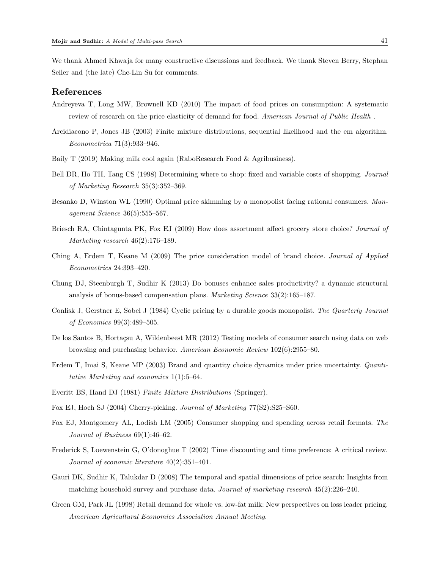We thank Ahmed Khwaja for many constructive discussions and feedback. We thank Steven Berry, Stephan Seiler and (the late) Che-Lin Su for comments.

## <span id="page-41-15"></span>References

- Andreyeva T, Long MW, Brownell KD (2010) The impact of food prices on consumption: A systematic review of research on the price elasticity of demand for food. American Journal of Public Health.
- <span id="page-41-9"></span>Arcidiacono P, Jones JB (2003) Finite mixture distributions, sequential likelihood and the em algorithm. Econometrica 71(3):933–946.
- <span id="page-41-11"></span>Baily T (2019) Making milk cool again (RaboResearch Food & Agribusiness).
- <span id="page-41-6"></span>Bell DR, Ho TH, Tang CS (1998) Determining where to shop: fixed and variable costs of shopping. *Journal* of Marketing Research 35(3):352–369.
- <span id="page-41-3"></span>Besanko D, Winston WL (1990) Optimal price skimming by a monopolist facing rational consumers. Management Science 36(5):555–567.
- <span id="page-41-12"></span>Briesch RA, Chintagunta PK, Fox EJ (2009) How does assortment affect grocery store choice? Journal of Marketing research 46(2):176–189.
- <span id="page-41-5"></span>Ching A, Erdem T, Keane M (2009) The price consideration model of brand choice. Journal of Applied Econometrics 24:393–420.
- <span id="page-41-13"></span>Chung DJ, Steenburgh T, Sudhir K (2013) Do bonuses enhance sales productivity? a dynamic structural analysis of bonus-based compensation plans. Marketing Science 33(2):165–187.
- <span id="page-41-2"></span>Conlisk J, Gerstner E, Sobel J (1984) Cyclic pricing by a durable goods monopolist. The Quarterly Journal of Economics 99(3):489–505.
- <span id="page-41-1"></span>De los Santos B, Hortaçsu A, Wildenbeest MR (2012) Testing models of consumer search using data on web browsing and purchasing behavior. American Economic Review 102(6):2955–80.
- <span id="page-41-4"></span>Erdem T, Imai S, Keane MP (2003) Brand and quantity choice dynamics under price uncertainty. Quantitative Marketing and economics 1(1):5–64.
- <span id="page-41-16"></span>Everitt BS, Hand DJ (1981) Finite Mixture Distributions (Springer).
- <span id="page-41-8"></span>Fox EJ, Hoch SJ (2004) Cherry-picking. Journal of Marketing 77(S2):S25–S60.
- <span id="page-41-7"></span>Fox EJ, Montgomery AL, Lodish LM (2005) Consumer shopping and spending across retail formats. The Journal of Business 69(1):46–62.
- <span id="page-41-14"></span>Frederick S, Loewenstein G, O'donoghue T (2002) Time discounting and time preference: A critical review. Journal of economic literature 40(2):351–401.
- <span id="page-41-0"></span>Gauri DK, Sudhir K, Talukdar D (2008) The temporal and spatial dimensions of price search: Insights from matching household survey and purchase data. Journal of marketing research 45(2):226–240.
- <span id="page-41-10"></span>Green GM, Park JL (1998) Retail demand for whole vs. low-fat milk: New perspectives on loss leader pricing. American Agricultural Economics Association Annual Meeting.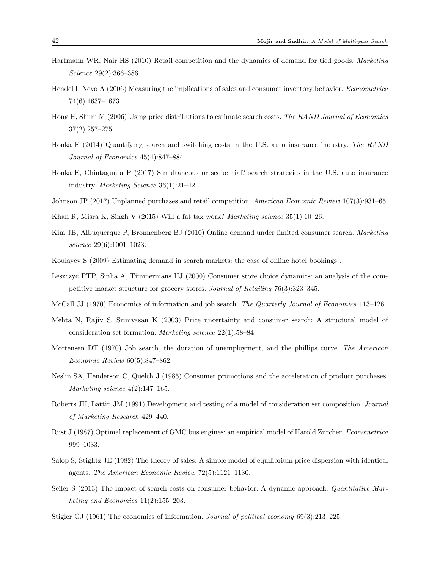- <span id="page-42-13"></span>Hartmann WR, Nair HS (2010) Retail competition and the dynamics of demand for tied goods. Marketing Science 29(2):366–386.
- <span id="page-42-12"></span>Hendel I, Nevo A (2006) Measuring the implications of sales and consumer inventory behavior. Econometrica 74(6):1637–1673.
- <span id="page-42-8"></span>Hong H, Shum M (2006) Using price distributions to estimate search costs. The RAND Journal of Economics 37(2):257–275.
- <span id="page-42-4"></span>Honka E (2014) Quantifying search and switching costs in the U.S. auto insurance industry. The RAND Journal of Economics 45(4):847–884.
- <span id="page-42-9"></span>Honka E, Chintagunta P (2017) Simultaneous or sequential? search strategies in the U.S. auto insurance industry. Marketing Science 36(1):21–42.
- <span id="page-42-16"></span>Johnson JP (2017) Unplanned purchases and retail competition. American Economic Review 107(3):931–65.
- <span id="page-42-17"></span>Khan R, Misra K, Singh V (2015) Will a fat tax work? Marketing science  $35(1):10-26$ .
- <span id="page-42-3"></span>Kim JB, Albuquerque P, Bronnenberg BJ (2010) Online demand under limited consumer search. Marketing science 29(6):1001–1023.
- <span id="page-42-7"></span>Koulayev S (2009) Estimating demand in search markets: the case of online hotel bookings .
- <span id="page-42-15"></span>Leszczyc PTP, Sinha A, Timmermans HJ (2000) Consumer store choice dynamics: an analysis of the competitive market structure for grocery stores. Journal of Retailing 76(3):323–345.
- <span id="page-42-1"></span>McCall JJ (1970) Economics of information and job search. The Quarterly Journal of Economics 113–126.
- <span id="page-42-6"></span>Mehta N, Rajiv S, Srinivasan K (2003) Price uncertainty and consumer search: A structural model of consideration set formation. Marketing science 22(1):58–84.
- <span id="page-42-2"></span>Mortensen DT (1970) Job search, the duration of unemployment, and the phillips curve. The American Economic Review 60(5):847–862.
- <span id="page-42-11"></span>Neslin SA, Henderson C, Quelch J (1985) Consumer promotions and the acceleration of product purchases. Marketing science 4(2):147–165.
- <span id="page-42-5"></span>Roberts JH, Lattin JM (1991) Development and testing of a model of consideration set composition. Journal of Marketing Research 429–440.
- <span id="page-42-18"></span>Rust J (1987) Optimal replacement of GMC bus engines: an empirical model of Harold Zurcher. Econometrica 999–1033.
- <span id="page-42-10"></span>Salop S, Stiglitz JE (1982) The theory of sales: A simple model of equilibrium price dispersion with identical agents. The American Economic Review 72(5):1121–1130.
- <span id="page-42-14"></span>Seiler S (2013) The impact of search costs on consumer behavior: A dynamic approach. Quantitative Marketing and Economics 11(2):155–203.
- <span id="page-42-0"></span>Stigler GJ (1961) The economics of information. Journal of political economy 69(3):213–225.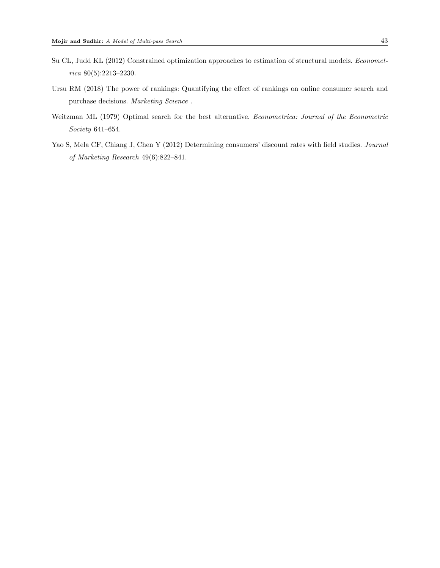- <span id="page-43-2"></span>Su CL, Judd KL (2012) Constrained optimization approaches to estimation of structural models. Econometrica 80(5):2213–2230.
- <span id="page-43-1"></span>Ursu RM (2018) The power of rankings: Quantifying the effect of rankings on online consumer search and purchase decisions. Marketing Science.
- <span id="page-43-0"></span>Weitzman ML (1979) Optimal search for the best alternative. Econometrica: Journal of the Econometric Society 641–654.
- <span id="page-43-3"></span>Yao S, Mela CF, Chiang J, Chen Y (2012) Determining consumers' discount rates with field studies. Journal of Marketing Research 49(6):822–841.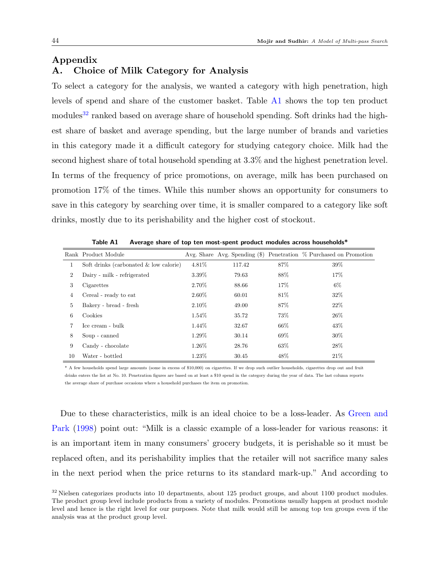## Appendix

## A. Choice of Milk Category for Analysis

To select a category for the analysis, we wanted a category with high penetration, high levels of spend and share of the customer basket. Table [A1](#page-44-0) shows the top ten product modules<sup>[32](#page-44-1)</sup> ranked based on average share of household spending. Soft drinks had the highest share of basket and average spending, but the large number of brands and varieties in this category made it a difficult category for studying category choice. Milk had the second highest share of total household spending at 3.3% and the highest penetration level. In terms of the frequency of price promotions, on average, milk has been purchased on promotion 17% of the times. While this number shows an opportunity for consumers to save in this category by searching over time, it is smaller compared to a category like soft drinks, mostly due to its perishability and the higher cost of stockout.

<span id="page-44-0"></span>

|        | Rank Product Module                       |          |        |      | Avg. Share Avg. Spending $(\$)$ Penetration $\%$ Purchased on Promotion |
|--------|-------------------------------------------|----------|--------|------|-------------------------------------------------------------------------|
|        | Soft drinks (carbonated $\&$ low calorie) | 4.81%    | 117.42 | 87%  | 39%                                                                     |
| $^{2}$ | Dairy - milk - refrigerated               | 3.39%    | 79.63  | 88%  | 17%                                                                     |
| 3      | Cigarettes                                | 2.70\%   | 88.66  | 17%  | 6%                                                                      |
| 4      | Cereal - ready to eat                     | 2.60%    | 60.01  | 81\% | 32%                                                                     |
| 5      | Bakery - bread - fresh                    | 2.10\%   | 49.00  | 87%  | 22%                                                                     |
| 6      | Cookies                                   | 1.54%    | 35.72  | 73%  | 26%                                                                     |
|        | Ice cream - bulk                          | 1.44\%   | 32.67  | 66%  | 43%                                                                     |
| 8      | Soup - canned                             | 1.29%    | 30.14  | 69%  | 30%                                                                     |
| 9      | Candy - chocolate                         | $1.26\%$ | 28.76  | 63%  | 28%                                                                     |
| 10     | Water - bottled                           | 1.23%    | 30.45  | 48%  | 21\%                                                                    |

Table A1 Average share of top ten most-spent product modules across households\*

\* A few households spend large amounts (some in excess of \$10,000) on cigarettes. If we drop such outlier households, cigarettes drop out and fruit drinks enters the list at No. 10. Penetration figures are based on at least a \$10 spend in the category during the year of data. The last column reports the average share of purchase occasions where a household purchases the item on promotion.

Due to these characteristics, milk is an ideal choice to be a loss-leader. As [Green and](#page-41-10) [Park](#page-41-10) [\(1998\)](#page-41-10) point out: "Milk is a classic example of a loss-leader for various reasons: it is an important item in many consumers' grocery budgets, it is perishable so it must be replaced often, and its perishability implies that the retailer will not sacrifice many sales in the next period when the price returns to its standard mark-up." And according to

<span id="page-44-1"></span> $32$  Nielsen categorizes products into 10 departments, about 125 product groups, and about 1100 product modules. The product group level include products from a variety of modules. Promotions usually happen at product module level and hence is the right level for our purposes. Note that milk would still be among top ten groups even if the analysis was at the product group level.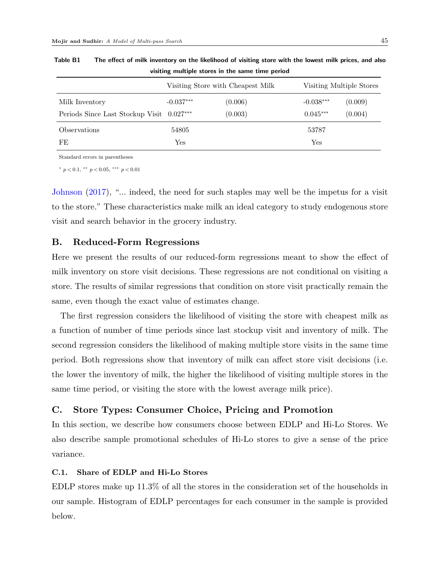|                                           |             | Visiting Store with Cheapest Milk |             | Visiting Multiple Stores |
|-------------------------------------------|-------------|-----------------------------------|-------------|--------------------------|
| Milk Inventory                            | $-0.037***$ | (0.006)                           | $-0.038***$ | (0.009)                  |
| Periods Since Last Stockup Visit 0.027*** |             | (0.003)                           | $0.045***$  | (0.004)                  |
| Observations                              | 54805       |                                   | 53787       |                          |
| FE                                        | Yes         |                                   | Yes         |                          |

Table B1 The effect of milk inventory on the likelihood of visiting store with the lowest milk prices, and also visiting multiple stores in the same time period

Standard errors in parentheses

\*  $p < 0.1$ , \*\*  $p < 0.05$ , \*\*\*  $p < 0.01$ 

[Johnson](#page-42-16) [\(2017\)](#page-42-16), "... indeed, the need for such staples may well be the impetus for a visit to the store." These characteristics make milk an ideal category to study endogenous store visit and search behavior in the grocery industry.

#### B. Reduced-Form Regressions

Here we present the results of our reduced-form regressions meant to show the effect of milk inventory on store visit decisions. These regressions are not conditional on visiting a store. The results of similar regressions that condition on store visit practically remain the same, even though the exact value of estimates change.

The first regression considers the likelihood of visiting the store with cheapest milk as a function of number of time periods since last stockup visit and inventory of milk. The second regression considers the likelihood of making multiple store visits in the same time period. Both regressions show that inventory of milk can affect store visit decisions (i.e. the lower the inventory of milk, the higher the likelihood of visiting multiple stores in the same time period, or visiting the store with the lowest average milk price).

## C. Store Types: Consumer Choice, Pricing and Promotion

In this section, we describe how consumers choose between EDLP and Hi-Lo Stores. We also describe sample promotional schedules of Hi-Lo stores to give a sense of the price variance.

## C.1. Share of EDLP and Hi-Lo Stores

EDLP stores make up 11.3% of all the stores in the consideration set of the households in our sample. Histogram of EDLP percentages for each consumer in the sample is provided below.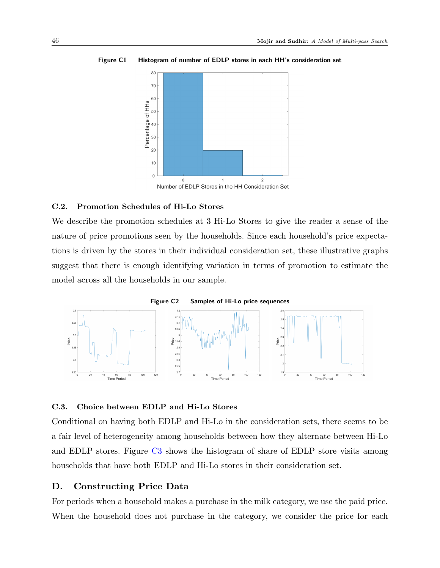

Figure C1 Histogram of number of EDLP stores in each HH's consideration set

#### C.2. Promotion Schedules of Hi-Lo Stores

We describe the promotion schedules at 3 Hi-Lo Stores to give the reader a sense of the nature of price promotions seen by the households. Since each household's price expectations is driven by the stores in their individual consideration set, these illustrative graphs suggest that there is enough identifying variation in terms of promotion to estimate the model across all the households in our sample.



#### C.3. Choice between EDLP and Hi-Lo Stores

Conditional on having both EDLP and Hi-Lo in the consideration sets, there seems to be a fair level of heterogeneity among households between how they alternate between Hi-Lo and EDLP stores. Figure [C3](#page-47-0) shows the histogram of share of EDLP store visits among households that have both EDLP and Hi-Lo stores in their consideration set.

## D. Constructing Price Data

For periods when a household makes a purchase in the milk category, we use the paid price. When the household does not purchase in the category, we consider the price for each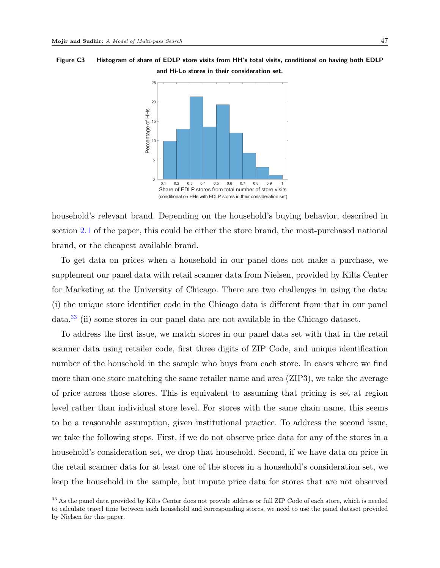<span id="page-47-0"></span>Figure C3 Histogram of share of EDLP store visits from HH's total visits, conditional on having both EDLP and Hi-Lo stores in their consideration set.



household's relevant brand. Depending on the household's buying behavior, described in section [2.1](#page-8-0) of the paper, this could be either the store brand, the most-purchased national brand, or the cheapest available brand.

To get data on prices when a household in our panel does not make a purchase, we supplement our panel data with retail scanner data from Nielsen, provided by Kilts Center for Marketing at the University of Chicago. There are two challenges in using the data: (i) the unique store identifier code in the Chicago data is different from that in our panel data.[33](#page-47-1) (ii) some stores in our panel data are not available in the Chicago dataset.

To address the first issue, we match stores in our panel data set with that in the retail scanner data using retailer code, first three digits of ZIP Code, and unique identification number of the household in the sample who buys from each store. In cases where we find more than one store matching the same retailer name and area (ZIP3), we take the average of price across those stores. This is equivalent to assuming that pricing is set at region level rather than individual store level. For stores with the same chain name, this seems to be a reasonable assumption, given institutional practice. To address the second issue, we take the following steps. First, if we do not observe price data for any of the stores in a household's consideration set, we drop that household. Second, if we have data on price in the retail scanner data for at least one of the stores in a household's consideration set, we keep the household in the sample, but impute price data for stores that are not observed

<span id="page-47-1"></span><sup>&</sup>lt;sup>33</sup> As the panel data provided by Kilts Center does not provide address or full ZIP Code of each store, which is needed to calculate travel time between each household and corresponding stores, we need to use the panel dataset provided by Nielsen for this paper.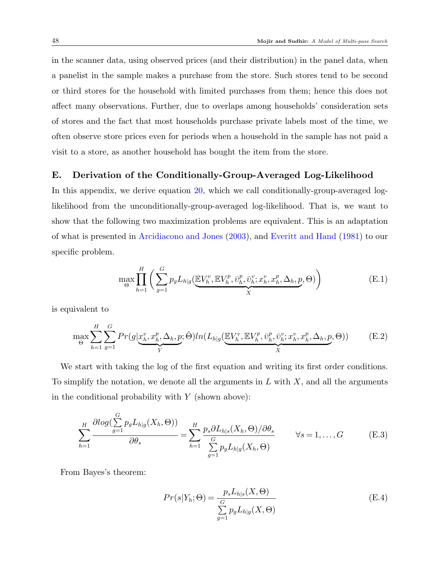in the scanner data, using observed prices (and their distribution) in the panel data, when a panelist in the sample makes a purchase from the store. Such stores tend to be second or third stores for the household with limited purchases from them; hence this does not affect many observations. Further, due to overlaps among households' consideration sets of stores and the fact that most households purchase private labels most of the time, we often observe store prices even for periods when a household in the sample has not paid a visit to a store, as another household has bought the item from the store.

## E. Derivation of the Conditionally-Group-Averaged Log-Likelihood

In this appendix, we derive equation [20,](#page-28-0) which we call conditionally-group-averaged loglikelihood from the unconditionally-group-averaged log-likelihood. That is, we want to show that the following two maximization problems are equivalent. This is an adaptation of what is presented in [Arcidiacono and Jones](#page-41-9) [\(2003\)](#page-41-9), and [Everitt and Hand](#page-41-16) [\(1981\)](#page-41-16) to our specific problem.

$$
\max_{\Theta} \prod_{h=1}^{H} \left( \sum_{g=1}^{G} p_g L_{h|g} \left( \underbrace{\mathbb{E} V_h^v, \mathbb{E} V_h^p, \bar{v}_h^p, \bar{v}_h^v, x_h^v, x_h^p, \Delta_h, p}_{X}, \Theta \right) \right) \tag{E.1}
$$

is equivalent to

$$
\max_{\Theta} \sum_{h=1}^{H} \sum_{g=1}^{G} Pr(g | \underbrace{x_h^v, x_h^p, \Delta_h, p}_{Y}; \hat{\Theta}) ln(L_{h|g} (\underbrace{\mathbb{E} V_h^v, \mathbb{E} V_h^p, \bar{v}_h^v, \bar{v}_h^v, x_h^v, x_h^p, \Delta_h, p}_{X}, \Theta))
$$
(E.2)

We start with taking the log of the first equation and writing its first order conditions. To simplify the notation, we denote all the arguments in  $L$  with  $X$ , and all the arguments in the conditional probability with  $Y$  (shown above):

$$
\sum_{h=1}^{H} \frac{\partial \log(\sum_{g=1}^{G} p_g L_{h|g}(X_h, \Theta))}{\partial \theta_s} = \sum_{h=1}^{H} \frac{p_s \partial L_{h|s}(X_h, \Theta)/\partial \theta_s}{\sum_{g=1}^{G} p_g L_{h|g}(X_h, \Theta)} \qquad \forall s = 1, ..., G
$$
 (E.3)

From Bayes's theorem:

$$
Pr(s|Y_h; \Theta) = \frac{p_s L_{h|s}(X, \Theta)}{\sum_{g=1}^{G} p_g L_{h|g}(X, \Theta)}
$$
(E.4)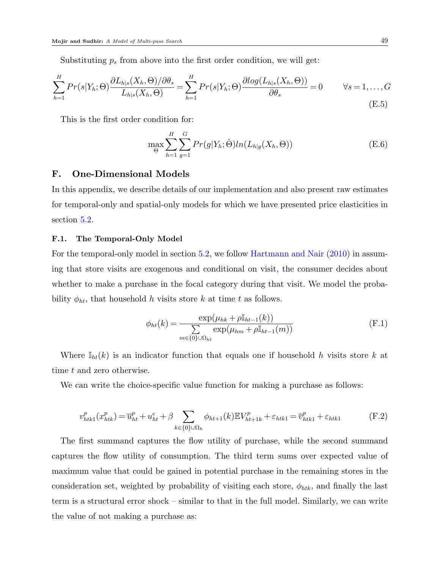Substituting  $p_s$  from above into the first order condition, we will get:

$$
\sum_{h=1}^{H} Pr(s|Y_h; \Theta) \frac{\partial L_{h|s}(X_h, \Theta)/\partial \theta_s}{L_{h|s}(X_h, \Theta)} = \sum_{h=1}^{H} Pr(s|Y_h; \Theta) \frac{\partial log(L_{h|s}(X_h, \Theta))}{\partial \theta_s} = 0 \qquad \forall s = 1, ..., G
$$
\n(E.5)

This is the first order condition for:

$$
\max_{\Theta} \sum_{h=1}^{H} \sum_{g=1}^{G} Pr(g|Y_h; \hat{\Theta}) ln(L_{h|g}(X_h, \Theta))
$$
\n(E.6)

## F. One-Dimensional Models

In this appendix, we describe details of our implementation and also present raw estimates for temporal-only and spatial-only models for which we have presented price elasticities in section [5.2.](#page-33-2)

#### F.1. The Temporal-Only Model

For the temporal-only model in section [5.2,](#page-33-2) we follow [Hartmann and Nair](#page-42-13) [\(2010\)](#page-42-13) in assuming that store visits are exogenous and conditional on visit, the consumer decides about whether to make a purchase in the focal category during that visit. We model the probability  $\phi_{ht}$ , that household h visits store k at time t as follows.

$$
\phi_{ht}(k) = \frac{\exp(\mu_{hk} + \rho \mathbb{I}_{ht-1}(k))}{\sum_{m \in \{0\} \cup \Omega_{ht}} \exp(\mu_{hm} + \rho \mathbb{I}_{ht-1}(m))}
$$
(F.1)

Where  $\mathbb{I}_{ht}(k)$  is an indicator function that equals one if household h visits store k at time t and zero otherwise.

We can write the choice-specific value function for making a purchase as follows:

$$
v_{htk1}^p(x_{htk}^p) = \overline{u}_{ht}^p + u_{ht}^c + \beta \sum_{k \in \{0\} \cup \Omega_h} \phi_{ht+1}(k) \mathbb{E} V_{ht+1k}^p + \varepsilon_{htk1} = \overline{v}_{htk1}^p + \varepsilon_{htk1}
$$
 (F.2)

The first summand captures the flow utility of purchase, while the second summand captures the flow utility of consumption. The third term sums over expected value of maximum value that could be gained in potential purchase in the remaining stores in the consideration set, weighted by probability of visiting each store,  $\phi_{htk}$ , and finally the last term is a structural error shock – similar to that in the full model. Similarly, we can write the value of not making a purchase as: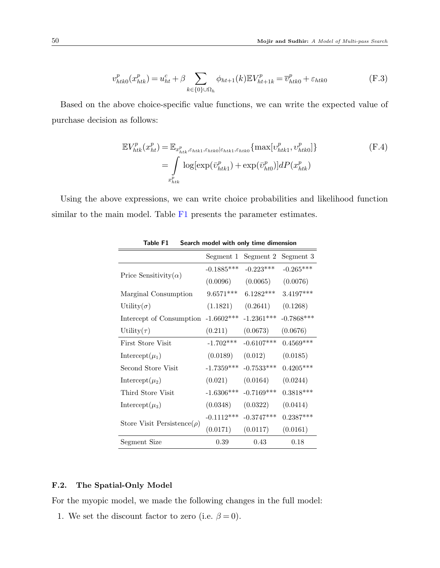$$
v_{htk0}^p(x_{htk}^p) = u_{ht}^c + \beta \sum_{k \in \{0\} \cup \Omega_h} \phi_{ht+1}(k) \mathbb{E} V_{ht+1k}^p = \overline{v}_{htk0}^p + \varepsilon_{htk0}
$$
 (F.3)

Based on the above choice-specific value functions, we can write the expected value of purchase decision as follows:

$$
\mathbb{E}V_{htk}^{p}(x_{ht}^{p}) = \mathbb{E}_{x_{htk}^{p}, \varepsilon_{htk} \in htk} \left\{ \max[v_{htk1}^{p}, v_{htk0}^{p}] \right\}
$$
\n
$$
= \int_{x_{htk}^{p}} \log[\exp(\bar{v}_{htk1}^{p}) + \exp(\bar{v}_{ht0}^{p})] dP(x_{htk}^{p})
$$
\n(F.4)

<span id="page-50-0"></span>Using the above expressions, we can write choice probabilities and likelihood function similar to the main model. Table [F1](#page-50-0) presents the parameter estimates.

|                                   | Segment 1    | Segment 2    | Segment 3    |
|-----------------------------------|--------------|--------------|--------------|
|                                   | $-0.1885***$ | $-0.223***$  | $-0.265***$  |
| Price Sensitivity( $\alpha$ )     | (0.0096)     | (0.0065)     | (0.0076)     |
| Marginal Consumption              | $9.6571***$  | $6.1282***$  | $3.4197***$  |
| Utility $(\sigma)$                | (1.1821)     | (0.2641)     | (0.1268)     |
| Intercept of Consumption          | $-1.6602***$ | $-1.2361***$ | $-0.7868***$ |
| Utility $(\tau)$                  | (0.211)      | (0.0673)     | (0.0676)     |
| First Store Visit                 | $-1.702***$  | $-0.6107***$ | $0.4569***$  |
| Intercept $(\mu_1)$               | (0.0189)     | (0.012)      | (0.0185)     |
| Second Store Visit                | $-1.7359***$ | $-0.7533***$ | $0.4205***$  |
| Intercept( $\mu_2$ )              | (0.021)      | (0.0164)     | (0.0244)     |
| Third Store Visit                 | $-1.6306***$ | $-0.7169***$ | $0.3818***$  |
| Intercept( $\mu_3$ )              | (0.0348)     | (0.0322)     | (0.0414)     |
|                                   | $-0.1112***$ | $-0.3747***$ | $0.2387***$  |
| Store Visit Persistence( $\rho$ ) | (0.0171)     | (0.0117)     | (0.0161)     |
| Segment Size                      | 0.39         | 0.43         | 0.18         |

Table F1 Search model with only time dimension

## F.2. The Spatial-Only Model

For the myopic model, we made the following changes in the full model:

1. We set the discount factor to zero (i.e.  $\beta = 0$ ).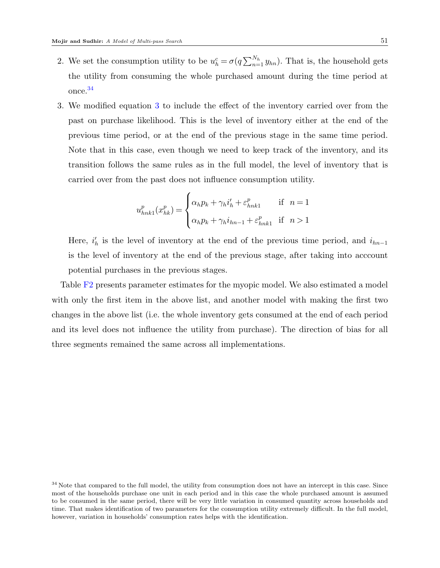- 2. We set the consumption utility to be  $u_h^c = \sigma(q \sum_{n=1}^{N_h} y_{hn})$ . That is, the household gets the utility from consuming the whole purchased amount during the time period at once.[34](#page-51-0)
- 3. We modified equation [3](#page-18-2) to include the effect of the inventory carried over from the past on purchase likelihood. This is the level of inventory either at the end of the previous time period, or at the end of the previous stage in the same time period. Note that in this case, even though we need to keep track of the inventory, and its transition follows the same rules as in the full model, the level of inventory that is carried over from the past does not influence consumption utility.

$$
u_{nnk1}^p(x_{hk}^p) = \begin{cases} \alpha_h p_k + \gamma_h i_h' + \varepsilon_{nnk1}^p & \text{if } n = 1\\ \alpha_h p_k + \gamma_h i_{hn-1} + \varepsilon_{hnk1}^p & \text{if } n > 1 \end{cases}
$$

Here,  $i'_h$  is the level of inventory at the end of the previous time period, and  $i_{hn-1}$ is the level of inventory at the end of the previous stage, after taking into acccount potential purchases in the previous stages.

Table [F2](#page-52-0) presents parameter estimates for the myopic model. We also estimated a model with only the first item in the above list, and another model with making the first two changes in the above list (i.e. the whole inventory gets consumed at the end of each period and its level does not influence the utility from purchase). The direction of bias for all three segments remained the same across all implementations.

<span id="page-51-0"></span><sup>&</sup>lt;sup>34</sup> Note that compared to the full model, the utility from consumption does not have an intercept in this case. Since most of the households purchase one unit in each period and in this case the whole purchased amount is assumed to be consumed in the same period, there will be very little variation in consumed quantity across households and time. That makes identification of two parameters for the consumption utility extremely difficult. In the full model, however, variation in households' consumption rates helps with the identification.